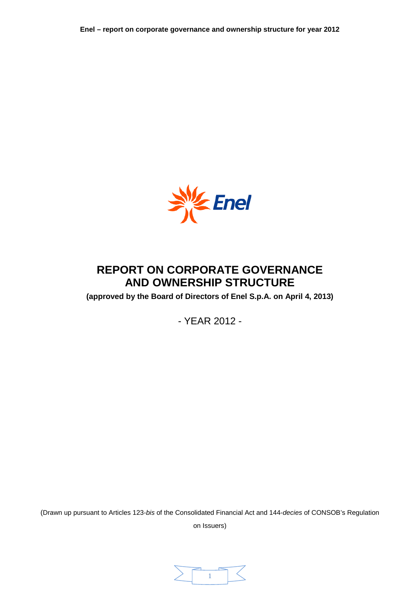

# **REPORT ON CORPORATE GOVERNANCE AND OWNERSHIP STRUCTURE**

**(approved by the Board of Directors of Enel S.p.A. on April 4, 2013)**

- YEAR 2012 -

(Drawn up pursuant to Articles 123-*bis* of the Consolidated Financial Act and 144-*decies* of CONSOB's Regulation

on Issuers)

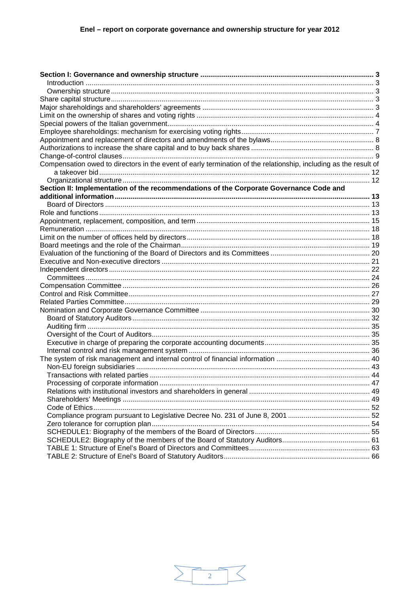| Compensation owed to directors in the event of early termination of the relationship, including as the result of |  |
|------------------------------------------------------------------------------------------------------------------|--|
|                                                                                                                  |  |
|                                                                                                                  |  |
| Section II: Implementation of the recommendations of the Corporate Governance Code and                           |  |
|                                                                                                                  |  |
|                                                                                                                  |  |
|                                                                                                                  |  |
|                                                                                                                  |  |
|                                                                                                                  |  |
|                                                                                                                  |  |
|                                                                                                                  |  |
|                                                                                                                  |  |
|                                                                                                                  |  |
|                                                                                                                  |  |
|                                                                                                                  |  |
|                                                                                                                  |  |
|                                                                                                                  |  |
|                                                                                                                  |  |
|                                                                                                                  |  |
|                                                                                                                  |  |
|                                                                                                                  |  |
|                                                                                                                  |  |
|                                                                                                                  |  |
|                                                                                                                  |  |
|                                                                                                                  |  |
|                                                                                                                  |  |
|                                                                                                                  |  |
|                                                                                                                  |  |
|                                                                                                                  |  |
|                                                                                                                  |  |
|                                                                                                                  |  |
|                                                                                                                  |  |
|                                                                                                                  |  |
|                                                                                                                  |  |
|                                                                                                                  |  |
|                                                                                                                  |  |
|                                                                                                                  |  |

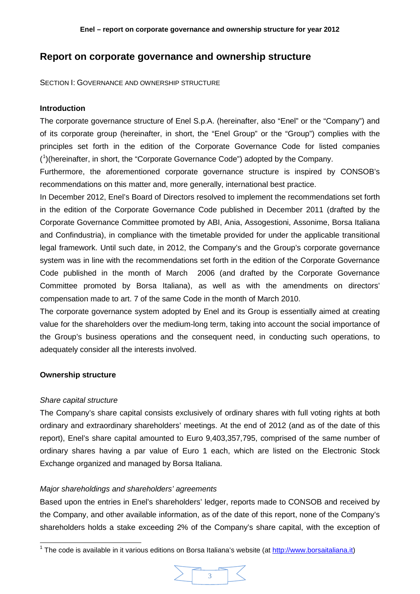# **Report on corporate governance and ownership structure**

<span id="page-2-0"></span>SECTION I: GOVERNANCE AND OWNERSHIP STRUCTURE

# <span id="page-2-1"></span>**Introduction**

The corporate governance structure of Enel S.p.A. (hereinafter, also "Enel" or the "Company") and of its corporate group (hereinafter, in short, the "Enel Group" or the "Group") complies with the principles set forth in the edition of the Corporate Governance Code for listed companies ( [1](#page-2-5) )(hereinafter, in short, the "Corporate Governance Code") adopted by the Company.

Furthermore, the aforementioned corporate governance structure is inspired by CONSOB's recommendations on this matter and, more generally, international best practice.

In December 2012, Enel's Board of Directors resolved to implement the recommendations set forth in the edition of the Corporate Governance Code published in December 2011 (drafted by the Corporate Governance Committee promoted by ABI, Ania, Assogestioni, Assonime, Borsa Italiana and Confindustria), in compliance with the timetable provided for under the applicable transitional legal framework. Until such date, in 2012, the Company's and the Group's corporate governance system was in line with the recommendations set forth in the edition of the Corporate Governance Code published in the month of March 2006 (and drafted by the Corporate Governance Committee promoted by Borsa Italiana), as well as with the amendments on directors' compensation made to art. 7 of the same Code in the month of March 2010.

The corporate governance system adopted by Enel and its Group is essentially aimed at creating value for the shareholders over the medium-long term, taking into account the social importance of the Group's business operations and the consequent need, in conducting such operations, to adequately consider all the interests involved.

# <span id="page-2-2"></span>**Ownership structure**

# <span id="page-2-3"></span>*Share capital structure*

The Company's share capital consists exclusively of ordinary shares with full voting rights at both ordinary and extraordinary shareholders' meetings. At the end of 2012 (and as of the date of this report), Enel's share capital amounted to Euro 9,403,357,795, comprised of the same number of ordinary shares having a par value of Euro 1 each, which are listed on the Electronic Stock Exchange organized and managed by Borsa Italiana.

# <span id="page-2-4"></span>*Major shareholdings and shareholders' agreements*

Based upon the entries in Enel's shareholders' ledger, reports made to CONSOB and received by the Company, and other available information, as of the date of this report, none of the Company's shareholders holds a stake exceeding 2% of the Company's share capital, with the exception of

<span id="page-2-5"></span> $1$  The code is available in it various editions on Borsa Italiana's website (at [http://www.borsaitaliana.it\)](http://www.borsaitaliana.it/)

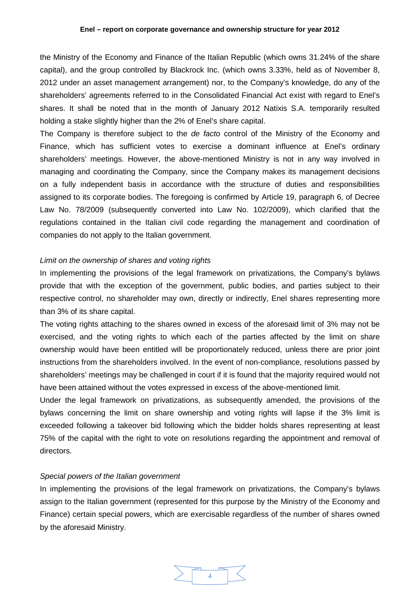the Ministry of the Economy and Finance of the Italian Republic (which owns 31.24% of the share capital), and the group controlled by Blackrock Inc. (which owns 3.33%, held as of November 8, 2012 under an asset management arrangement) nor, to the Company's knowledge, do any of the shareholders' agreements referred to in the Consolidated Financial Act exist with regard to Enel's shares. It shall be noted that in the month of January 2012 Natixis S.A. temporarily resulted holding a stake slightly higher than the 2% of Enel's share capital.

The Company is therefore subject to the *de facto* control of the Ministry of the Economy and Finance, which has sufficient votes to exercise a dominant influence at Enel's ordinary shareholders' meetings. However, the above-mentioned Ministry is not in any way involved in managing and coordinating the Company, since the Company makes its management decisions on a fully independent basis in accordance with the structure of duties and responsibilities assigned to its corporate bodies. The foregoing is confirmed by Article 19, paragraph 6, of Decree Law No. 78/2009 (subsequently converted into Law No. 102/2009), which clarified that the regulations contained in the Italian civil code regarding the management and coordination of companies do not apply to the Italian government.

# <span id="page-3-0"></span>*Limit on the ownership of shares and voting rights*

In implementing the provisions of the legal framework on privatizations, the Company's bylaws provide that with the exception of the government, public bodies, and parties subject to their respective control, no shareholder may own, directly or indirectly, Enel shares representing more than 3% of its share capital.

The voting rights attaching to the shares owned in excess of the aforesaid limit of 3% may not be exercised, and the voting rights to which each of the parties affected by the limit on share ownership would have been entitled will be proportionately reduced, unless there are prior joint instructions from the shareholders involved. In the event of non-compliance, resolutions passed by shareholders' meetings may be challenged in court if it is found that the majority required would not have been attained without the votes expressed in excess of the above-mentioned limit.

Under the legal framework on privatizations, as subsequently amended, the provisions of the bylaws concerning the limit on share ownership and voting rights will lapse if the 3% limit is exceeded following a takeover bid following which the bidder holds shares representing at least 75% of the capital with the right to vote on resolutions regarding the appointment and removal of directors.

# <span id="page-3-1"></span>*Special powers of the Italian government*

In implementing the provisions of the legal framework on privatizations, the Company's bylaws assign to the Italian government (represented for this purpose by the Ministry of the Economy and Finance) certain special powers, which are exercisable regardless of the number of shares owned by the aforesaid Ministry.

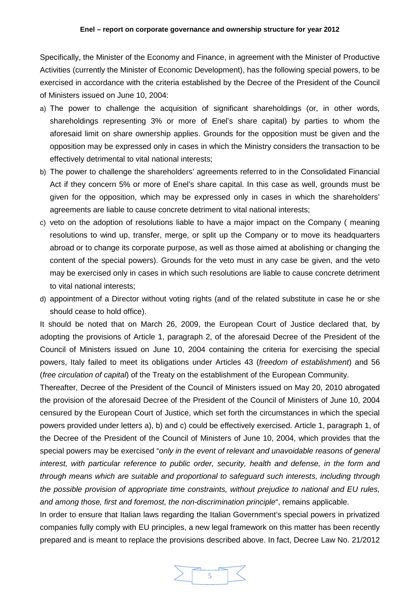Specifically, the Minister of the Economy and Finance, in agreement with the Minister of Productive Activities (currently the Minister of Economic Development), has the following special powers, to be exercised in accordance with the criteria established by the Decree of the President of the Council of Ministers issued on June 10, 2004:

- a) The power to challenge the acquisition of significant shareholdings (or, in other words, shareholdings representing 3% or more of Enel's share capital) by parties to whom the aforesaid limit on share ownership applies. Grounds for the opposition must be given and the opposition may be expressed only in cases in which the Ministry considers the transaction to be effectively detrimental to vital national interests;
- b) The power to challenge the shareholders' agreements referred to in the Consolidated Financial Act if they concern 5% or more of Enel's share capital. In this case as well, grounds must be given for the opposition, which may be expressed only in cases in which the shareholders' agreements are liable to cause concrete detriment to vital national interests;
- c) veto on the adoption of resolutions liable to have a major impact on the Company ( meaning resolutions to wind up, transfer, merge, or split up the Company or to move its headquarters abroad or to change its corporate purpose, as well as those aimed at abolishing or changing the content of the special powers). Grounds for the veto must in any case be given, and the veto may be exercised only in cases in which such resolutions are liable to cause concrete detriment to vital national interests;
- d) appointment of a Director without voting rights (and of the related substitute in case he or she should cease to hold office).

It should be noted that on March 26, 2009, the European Court of Justice declared that, by adopting the provisions of Article 1, paragraph 2, of the aforesaid Decree of the President of the Council of Ministers issued on June 10, 2004 containing the criteria for exercising the special powers, Italy failed to meet its obligations under Articles 43 (*freedom of establishment*) and 56 (*free circulation of capital*) of the Treaty on the establishment of the European Community.

Thereafter, Decree of the President of the Council of Ministers issued on May 20, 2010 abrogated the provision of the aforesaid Decree of the President of the Council of Ministers of June 10, 2004 censured by the European Court of Justice, which set forth the circumstances in which the special powers provided under letters a), b) and c) could be effectively exercised. Article 1, paragraph 1, of the Decree of the President of the Council of Ministers of June 10, 2004, which provides that the special powers may be exercised "*only in the event of relevant and unavoidable reasons of general interest, with particular reference to public order, security, health and defense, in the form and through means which are suitable and proportional to safeguard such interests, including through the possible provision of appropriate time constraints, without prejudice to national and EU rules, and among those, first and foremost, the non-discrimination principle*", remains applicable.

In order to ensure that Italian laws regarding the Italian Government's special powers in privatized companies fully comply with EU principles, a new legal framework on this matter has been recently prepared and is meant to replace the provisions described above. In fact, Decree Law No. 21/2012

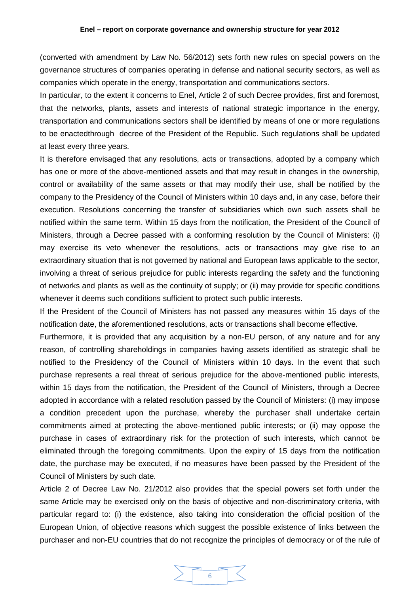(converted with amendment by Law No. 56/2012) sets forth new rules on special powers on the governance structures of companies operating in defense and national security sectors, as well as companies which operate in the energy, transportation and communications sectors.

In particular, to the extent it concerns to Enel, Article 2 of such Decree provides, first and foremost, that the networks, plants, assets and interests of national strategic importance in the energy, transportation and communications sectors shall be identified by means of one or more regulations to be enactedthrough decree of the President of the Republic. Such regulations shall be updated at least every three years.

It is therefore envisaged that any resolutions, acts or transactions, adopted by a company which has one or more of the above-mentioned assets and that may result in changes in the ownership, control or availability of the same assets or that may modify their use, shall be notified by the company to the Presidency of the Council of Ministers within 10 days and, in any case, before their execution. Resolutions concerning the transfer of subsidiaries which own such assets shall be notified within the same term. Within 15 days from the notification, the President of the Council of Ministers, through a Decree passed with a conforming resolution by the Council of Ministers: (i) may exercise its veto whenever the resolutions, acts or transactions may give rise to an extraordinary situation that is not governed by national and European laws applicable to the sector, involving a threat of serious prejudice for public interests regarding the safety and the functioning of networks and plants as well as the continuity of supply; or (ii) may provide for specific conditions whenever it deems such conditions sufficient to protect such public interests.

If the President of the Council of Ministers has not passed any measures within 15 days of the notification date, the aforementioned resolutions, acts or transactions shall become effective.

Furthermore, it is provided that any acquisition by a non-EU person, of any nature and for any reason, of controlling shareholdings in companies having assets identified as strategic shall be notified to the Presidency of the Council of Ministers within 10 days. In the event that such purchase represents a real threat of serious prejudice for the above-mentioned public interests, within 15 days from the notification, the President of the Council of Ministers, through a Decree adopted in accordance with a related resolution passed by the Council of Ministers: (i) may impose a condition precedent upon the purchase, whereby the purchaser shall undertake certain commitments aimed at protecting the above-mentioned public interests; or (ii) may oppose the purchase in cases of extraordinary risk for the protection of such interests, which cannot be eliminated through the foregoing commitments. Upon the expiry of 15 days from the notification date, the purchase may be executed, if no measures have been passed by the President of the Council of Ministers by such date.

Article 2 of Decree Law No. 21/2012 also provides that the special powers set forth under the same Article may be exercised only on the basis of objective and non-discriminatory criteria, with particular regard to: (i) the existence, also taking into consideration the official position of the European Union, of objective reasons which suggest the possible existence of links between the purchaser and non-EU countries that do not recognize the principles of democracy or of the rule of

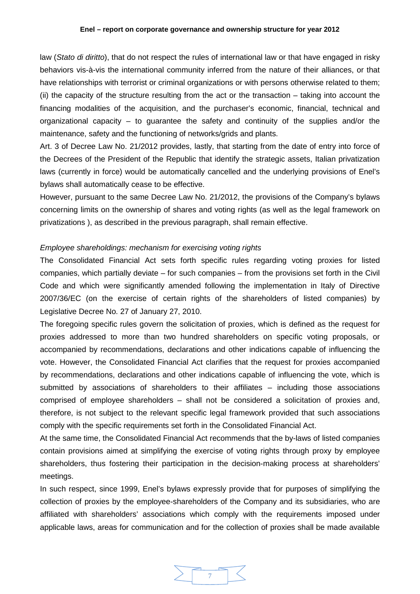#### **Enel – report on corporate governance and ownership structure for year 2012**

law (*Stato di diritto*), that do not respect the rules of international law or that have engaged in risky behaviors vis-à-vis the international community inferred from the nature of their alliances, or that have relationships with terrorist or criminal organizations or with persons otherwise related to them; (ii) the capacity of the structure resulting from the act or the transaction – taking into account the financing modalities of the acquisition, and the purchaser's economic, financial, technical and organizational capacity – to guarantee the safety and continuity of the supplies and/or the maintenance, safety and the functioning of networks/grids and plants.

Art. 3 of Decree Law No. 21/2012 provides, lastly, that starting from the date of entry into force of the Decrees of the President of the Republic that identify the strategic assets, Italian privatization laws (currently in force) would be automatically cancelled and the underlying provisions of Enel's bylaws shall automatically cease to be effective.

However, pursuant to the same Decree Law No. 21/2012, the provisions of the Company's bylaws concerning limits on the ownership of shares and voting rights (as well as the legal framework on privatizations ), as described in the previous paragraph, shall remain effective.

# <span id="page-6-0"></span>*Employee shareholdings: mechanism for exercising voting rights*

The Consolidated Financial Act sets forth specific rules regarding voting proxies for listed companies, which partially deviate – for such companies – from the provisions set forth in the Civil Code and which were significantly amended following the implementation in Italy of Directive 2007/36/EC (on the exercise of certain rights of the shareholders of listed companies) by Legislative Decree No. 27 of January 27, 2010.

The foregoing specific rules govern the solicitation of proxies, which is defined as the request for proxies addressed to more than two hundred shareholders on specific voting proposals, or accompanied by recommendations, declarations and other indications capable of influencing the vote. However, the Consolidated Financial Act clarifies that the request for proxies accompanied by recommendations, declarations and other indications capable of influencing the vote, which is submitted by associations of shareholders to their affiliates – including those associations comprised of employee shareholders – shall not be considered a solicitation of proxies and, therefore, is not subject to the relevant specific legal framework provided that such associations comply with the specific requirements set forth in the Consolidated Financial Act.

At the same time, the Consolidated Financial Act recommends that the by-laws of listed companies contain provisions aimed at simplifying the exercise of voting rights through proxy by employee shareholders, thus fostering their participation in the decision-making process at shareholders' meetings.

In such respect, since 1999, Enel's bylaws expressly provide that for purposes of simplifying the collection of proxies by the employee-shareholders of the Company and its subsidiaries, who are affiliated with shareholders' associations which comply with the requirements imposed under applicable laws, areas for communication and for the collection of proxies shall be made available

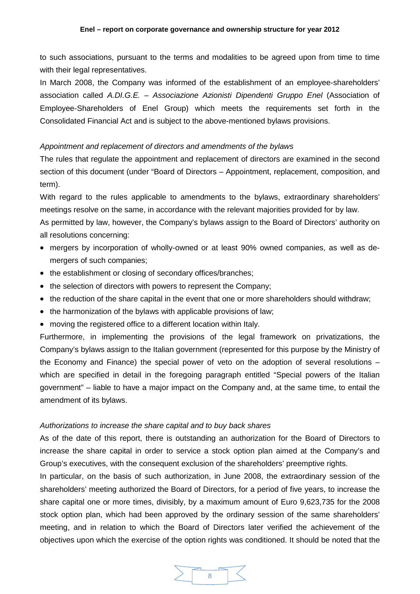to such associations, pursuant to the terms and modalities to be agreed upon from time to time with their legal representatives.

In March 2008, the Company was informed of the establishment of an employee-shareholders' association called *A.DI.G.E. – Associazione Azionisti Dipendenti Gruppo Enel* (Association of Employee-Shareholders of Enel Group) which meets the requirements set forth in the Consolidated Financial Act and is subject to the above-mentioned bylaws provisions.

# <span id="page-7-0"></span>*Appointment and replacement of directors and amendments of the bylaws*

The rules that regulate the appointment and replacement of directors are examined in the second section of this document (under "Board of Directors – Appointment, replacement, composition, and term).

With regard to the rules applicable to amendments to the bylaws, extraordinary shareholders' meetings resolve on the same, in accordance with the relevant majorities provided for by law.

As permitted by law, however, the Company's bylaws assign to the Board of Directors' authority on all resolutions concerning:

- mergers by incorporation of wholly-owned or at least 90% owned companies, as well as demergers of such companies;
- the establishment or closing of secondary offices/branches;
- the selection of directors with powers to represent the Company;
- the reduction of the share capital in the event that one or more shareholders should withdraw;
- the harmonization of the bylaws with applicable provisions of law;
- moving the registered office to a different location within Italy.

Furthermore, in implementing the provisions of the legal framework on privatizations, the Company's bylaws assign to the Italian government (represented for this purpose by the Ministry of the Economy and Finance) the special power of veto on the adoption of several resolutions – which are specified in detail in the foregoing paragraph entitled "Special powers of the Italian government" – liable to have a major impact on the Company and, at the same time, to entail the amendment of its bylaws.

### <span id="page-7-1"></span>*Authorizations to increase the share capital and to buy back shares*

As of the date of this report, there is outstanding an authorization for the Board of Directors to increase the share capital in order to service a stock option plan aimed at the Company's and Group's executives, with the consequent exclusion of the shareholders' preemptive rights.

In particular, on the basis of such authorization, in June 2008, the extraordinary session of the shareholders' meeting authorized the Board of Directors, for a period of five years, to increase the share capital one or more times, divisibly, by a maximum amount of Euro 9,623,735 for the 2008 stock option plan, which had been approved by the ordinary session of the same shareholders' meeting, and in relation to which the Board of Directors later verified the achievement of the objectives upon which the exercise of the option rights was conditioned. It should be noted that the

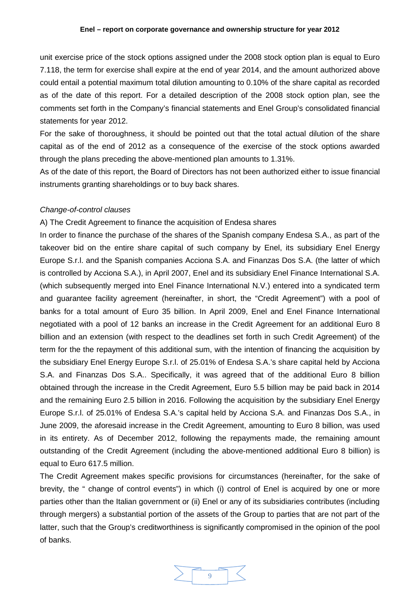unit exercise price of the stock options assigned under the 2008 stock option plan is equal to Euro 7.118, the term for exercise shall expire at the end of year 2014, and the amount authorized above could entail a potential maximum total dilution amounting to 0.10% of the share capital as recorded as of the date of this report. For a detailed description of the 2008 stock option plan, see the comments set forth in the Company's financial statements and Enel Group's consolidated financial statements for year 2012.

For the sake of thoroughness, it should be pointed out that the total actual dilution of the share capital as of the end of 2012 as a consequence of the exercise of the stock options awarded through the plans preceding the above-mentioned plan amounts to 1.31%.

As of the date of this report, the Board of Directors has not been authorized either to issue financial instruments granting shareholdings or to buy back shares.

#### <span id="page-8-0"></span>*Change-of-control clauses*

A) The Credit Agreement to finance the acquisition of Endesa shares

In order to finance the purchase of the shares of the Spanish company Endesa S.A., as part of the takeover bid on the entire share capital of such company by Enel, its subsidiary Enel Energy Europe S.r.l. and the Spanish companies Acciona S.A. and Finanzas Dos S.A. (the latter of which is controlled by Acciona S.A.), in April 2007, Enel and its subsidiary Enel Finance International S.A. (which subsequently merged into Enel Finance International N.V.) entered into a syndicated term and guarantee facility agreement (hereinafter, in short, the "Credit Agreement") with a pool of banks for a total amount of Euro 35 billion. In April 2009, Enel and Enel Finance International negotiated with a pool of 12 banks an increase in the Credit Agreement for an additional Euro 8 billion and an extension (with respect to the deadlines set forth in such Credit Agreement) of the term for the the repayment of this additional sum, with the intention of financing the acquisition by the subsidiary Enel Energy Europe S.r.l. of 25.01% of Endesa S.A.'s share capital held by Acciona S.A. and Finanzas Dos S.A.. Specifically, it was agreed that of the additional Euro 8 billion obtained through the increase in the Credit Agreement, Euro 5.5 billion may be paid back in 2014 and the remaining Euro 2.5 billion in 2016. Following the acquisition by the subsidiary Enel Energy Europe S.r.l. of 25.01% of Endesa S.A.'s capital held by Acciona S.A. and Finanzas Dos S.A., in June 2009, the aforesaid increase in the Credit Agreement, amounting to Euro 8 billion, was used in its entirety. As of December 2012, following the repayments made, the remaining amount outstanding of the Credit Agreement (including the above-mentioned additional Euro 8 billion) is equal to Euro 617.5 million.

The Credit Agreement makes specific provisions for circumstances (hereinafter, for the sake of brevity, the " change of control events") in which (i) control of Enel is acquired by one or more parties other than the Italian government or (ii) Enel or any of its subsidiaries contributes (including through mergers) a substantial portion of the assets of the Group to parties that are not part of the latter, such that the Group's creditworthiness is significantly compromised in the opinion of the pool of banks.

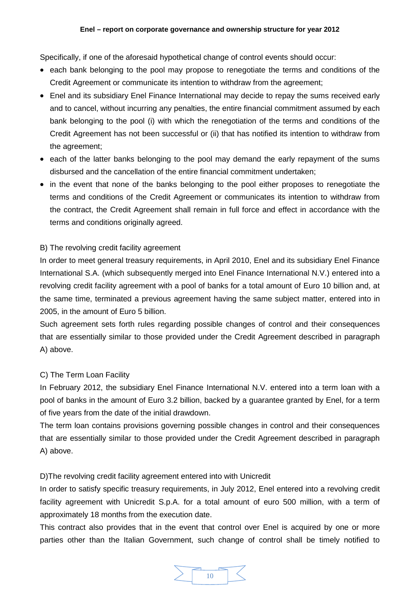Specifically, if one of the aforesaid hypothetical change of control events should occur:

- each bank belonging to the pool may propose to renegotiate the terms and conditions of the Credit Agreement or communicate its intention to withdraw from the agreement;
- Enel and its subsidiary Enel Finance International may decide to repay the sums received early and to cancel, without incurring any penalties, the entire financial commitment assumed by each bank belonging to the pool (i) with which the renegotiation of the terms and conditions of the Credit Agreement has not been successful or (ii) that has notified its intention to withdraw from the agreement;
- each of the latter banks belonging to the pool may demand the early repayment of the sums disbursed and the cancellation of the entire financial commitment undertaken;
- in the event that none of the banks belonging to the pool either proposes to renegotiate the terms and conditions of the Credit Agreement or communicates its intention to withdraw from the contract, the Credit Agreement shall remain in full force and effect in accordance with the terms and conditions originally agreed.

# B) The revolving credit facility agreement

In order to meet general treasury requirements, in April 2010, Enel and its subsidiary Enel Finance International S.A. (which subsequently merged into Enel Finance International N.V.) entered into a revolving credit facility agreement with a pool of banks for a total amount of Euro 10 billion and, at the same time, terminated a previous agreement having the same subject matter, entered into in 2005, in the amount of Euro 5 billion.

Such agreement sets forth rules regarding possible changes of control and their consequences that are essentially similar to those provided under the Credit Agreement described in paragraph A) above.

# C) The Term Loan Facility

In February 2012, the subsidiary Enel Finance International N.V. entered into a term loan with a pool of banks in the amount of Euro 3.2 billion, backed by a guarantee granted by Enel, for a term of five years from the date of the initial drawdown.

The term loan contains provisions governing possible changes in control and their consequences that are essentially similar to those provided under the Credit Agreement described in paragraph A) above.

# D)The revolving credit facility agreement entered into with Unicredit

In order to satisfy specific treasury requirements, in July 2012, Enel entered into a revolving credit facility agreement with Unicredit S.p.A. for a total amount of euro 500 million, with a term of approximately 18 months from the execution date.

This contract also provides that in the event that control over Enel is acquired by one or more parties other than the Italian Government, such change of control shall be timely notified to

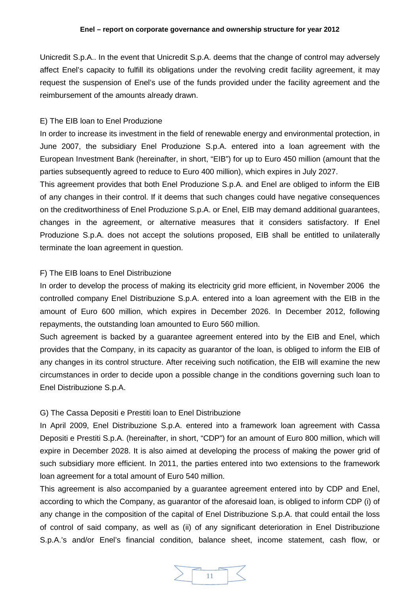Unicredit S.p.A.. In the event that Unicredit S.p.A. deems that the change of control may adversely affect Enel's capacity to fulfill its obligations under the revolving credit facility agreement, it may request the suspension of Enel's use of the funds provided under the facility agreement and the reimbursement of the amounts already drawn.

# E) The EIB loan to Enel Produzione

In order to increase its investment in the field of renewable energy and environmental protection, in June 2007, the subsidiary Enel Produzione S.p.A. entered into a loan agreement with the European Investment Bank (hereinafter, in short, "EIB") for up to Euro 450 million (amount that the parties subsequently agreed to reduce to Euro 400 million), which expires in July 2027.

This agreement provides that both Enel Produzione S.p.A. and Enel are obliged to inform the EIB of any changes in their control. If it deems that such changes could have negative consequences on the creditworthiness of Enel Produzione S.p.A. or Enel, EIB may demand additional guarantees, changes in the agreement, or alternative measures that it considers satisfactory. If Enel Produzione S.p.A. does not accept the solutions proposed, EIB shall be entitled to unilaterally terminate the loan agreement in question.

# F) The EIB loans to Enel Distribuzione

In order to develop the process of making its electricity grid more efficient, in November 2006 the controlled company Enel Distribuzione S.p.A. entered into a loan agreement with the EIB in the amount of Euro 600 million, which expires in December 2026. In December 2012, following repayments, the outstanding loan amounted to Euro 560 million.

Such agreement is backed by a guarantee agreement entered into by the EIB and Enel, which provides that the Company, in its capacity as guarantor of the loan, is obliged to inform the EIB of any changes in its control structure. After receiving such notification, the EIB will examine the new circumstances in order to decide upon a possible change in the conditions governing such loan to Enel Distribuzione S.p.A.

# G) The Cassa Depositi e Prestiti loan to Enel Distribuzione

In April 2009, Enel Distribuzione S.p.A. entered into a framework loan agreement with Cassa Depositi e Prestiti S.p.A. (hereinafter, in short, "CDP") for an amount of Euro 800 million, which will expire in December 2028. It is also aimed at developing the process of making the power grid of such subsidiary more efficient. In 2011, the parties entered into two extensions to the framework loan agreement for a total amount of Euro 540 million.

This agreement is also accompanied by a guarantee agreement entered into by CDP and Enel, according to which the Company, as guarantor of the aforesaid loan, is obliged to inform CDP (i) of any change in the composition of the capital of Enel Distribuzione S.p.A. that could entail the loss of control of said company, as well as (ii) of any significant deterioration in Enel Distribuzione S.p.A.'s and/or Enel's financial condition, balance sheet, income statement, cash flow, or

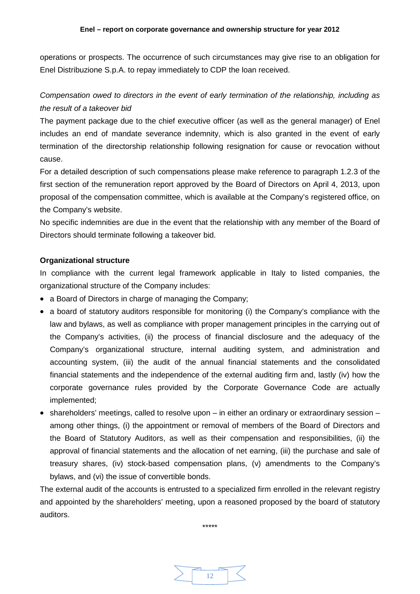operations or prospects. The occurrence of such circumstances may give rise to an obligation for Enel Distribuzione S.p.A. to repay immediately to CDP the loan received.

# <span id="page-11-0"></span>*Compensation owed to directors in the event of early termination of the relationship, including as the result of a takeover bid*

The payment package due to the chief executive officer (as well as the general manager) of Enel includes an end of mandate severance indemnity, which is also granted in the event of early termination of the directorship relationship following resignation for cause or revocation without cause.

For a detailed description of such compensations please make reference to paragraph 1.2.3 of the first section of the remuneration report approved by the Board of Directors on April 4, 2013, upon proposal of the compensation committee, which is available at the Company's registered office, on the Company's website.

No specific indemnities are due in the event that the relationship with any member of the Board of Directors should terminate following a takeover bid.

# <span id="page-11-1"></span>**Organizational structure**

In compliance with the current legal framework applicable in Italy to listed companies, the organizational structure of the Company includes:

- a Board of Directors in charge of managing the Company;
- a board of statutory auditors responsible for monitoring (i) the Company's compliance with the law and bylaws, as well as compliance with proper management principles in the carrying out of the Company's activities, (ii) the process of financial disclosure and the adequacy of the Company's organizational structure, internal auditing system, and administration and accounting system, (iii) the audit of the annual financial statements and the consolidated financial statements and the independence of the external auditing firm and, lastly (iv) how the corporate governance rules provided by the Corporate Governance Code are actually implemented;
- shareholders' meetings, called to resolve upon in either an ordinary or extraordinary session among other things, (i) the appointment or removal of members of the Board of Directors and the Board of Statutory Auditors, as well as their compensation and responsibilities, (ii) the approval of financial statements and the allocation of net earning, (iii) the purchase and sale of treasury shares, (iv) stock-based compensation plans, (v) amendments to the Company's bylaws, and (vi) the issue of convertible bonds.

The external audit of the accounts is entrusted to a specialized firm enrolled in the relevant registry and appointed by the shareholders' meeting, upon a reasoned proposed by the board of statutory auditors.

\*\*\*\*\*

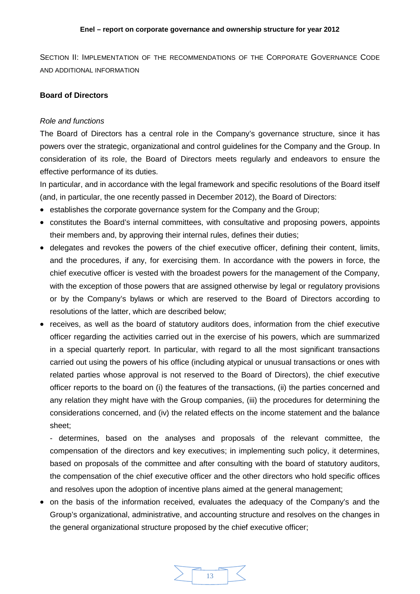<span id="page-12-0"></span>SECTION II: IMPLEMENTATION OF THE RECOMMENDATIONS OF THE CORPORATE GOVERNANCE CODE AND ADDITIONAL INFORMATION

# <span id="page-12-1"></span>**Board of Directors**

### <span id="page-12-2"></span>*Role and functions*

The Board of Directors has a central role in the Company's governance structure, since it has powers over the strategic, organizational and control guidelines for the Company and the Group. In consideration of its role, the Board of Directors meets regularly and endeavors to ensure the effective performance of its duties.

In particular, and in accordance with the legal framework and specific resolutions of the Board itself (and, in particular, the one recently passed in December 2012), the Board of Directors:

- establishes the corporate governance system for the Company and the Group;
- constitutes the Board's internal committees, with consultative and proposing powers, appoints their members and, by approving their internal rules, defines their duties;
- delegates and revokes the powers of the chief executive officer, defining their content, limits, and the procedures, if any, for exercising them. In accordance with the powers in force, the chief executive officer is vested with the broadest powers for the management of the Company, with the exception of those powers that are assigned otherwise by legal or regulatory provisions or by the Company's bylaws or which are reserved to the Board of Directors according to resolutions of the latter, which are described below;
- receives, as well as the board of statutory auditors does, information from the chief executive officer regarding the activities carried out in the exercise of his powers, which are summarized in a special quarterly report. In particular, with regard to all the most significant transactions carried out using the powers of his office (including atypical or unusual transactions or ones with related parties whose approval is not reserved to the Board of Directors), the chief executive officer reports to the board on (i) the features of the transactions, (ii) the parties concerned and any relation they might have with the Group companies, (iii) the procedures for determining the considerations concerned, and (iv) the related effects on the income statement and the balance sheet;

- determines, based on the analyses and proposals of the relevant committee, the compensation of the directors and key executives; in implementing such policy, it determines, based on proposals of the committee and after consulting with the board of statutory auditors, the compensation of the chief executive officer and the other directors who hold specific offices and resolves upon the adoption of incentive plans aimed at the general management;

• on the basis of the information received, evaluates the adequacy of the Company's and the Group's organizational, administrative, and accounting structure and resolves on the changes in the general organizational structure proposed by the chief executive officer;

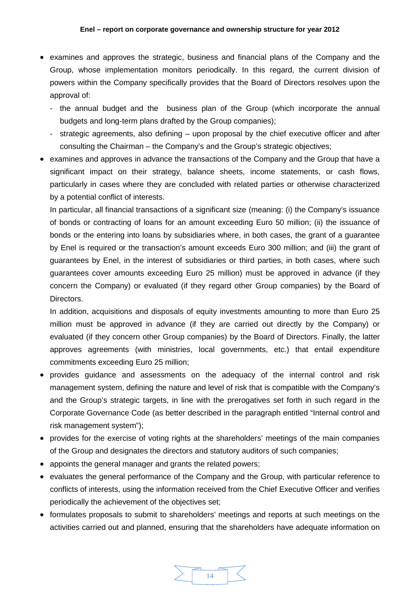- examines and approves the strategic, business and financial plans of the Company and the Group, whose implementation monitors periodically. In this regard, the current division of powers within the Company specifically provides that the Board of Directors resolves upon the approval of:
	- the annual budget and the business plan of the Group (which incorporate the annual budgets and long-term plans drafted by the Group companies);
	- strategic agreements, also defining upon proposal by the chief executive officer and after consulting the Chairman – the Company's and the Group's strategic objectives;
- examines and approves in advance the transactions of the Company and the Group that have a significant impact on their strategy, balance sheets, income statements, or cash flows, particularly in cases where they are concluded with related parties or otherwise characterized by a potential conflict of interests.

In particular, all financial transactions of a significant size (meaning: (i) the Company's issuance of bonds or contracting of loans for an amount exceeding Euro 50 million; (ii) the issuance of bonds or the entering into loans by subsidiaries where, in both cases, the grant of a guarantee by Enel is required or the transaction's amount exceeds Euro 300 million; and (iii) the grant of guarantees by Enel, in the interest of subsidiaries or third parties, in both cases, where such guarantees cover amounts exceeding Euro 25 million) must be approved in advance (if they concern the Company) or evaluated (if they regard other Group companies) by the Board of Directors.

In addition, acquisitions and disposals of equity investments amounting to more than Euro 25 million must be approved in advance (if they are carried out directly by the Company) or evaluated (if they concern other Group companies) by the Board of Directors. Finally, the latter approves agreements (with ministries, local governments, etc.) that entail expenditure commitments exceeding Euro 25 million;

- provides guidance and assessments on the adequacy of the internal control and risk management system, defining the nature and level of risk that is compatible with the Company's and the Group's strategic targets, in line with the prerogatives set forth in such regard in the Corporate Governance Code (as better described in the paragraph entitled "Internal control and risk management system");
- provides for the exercise of voting rights at the shareholders' meetings of the main companies of the Group and designates the directors and statutory auditors of such companies;
- appoints the general manager and grants the related powers;
- evaluates the general performance of the Company and the Group, with particular reference to conflicts of interests, using the information received from the Chief Executive Officer and verifies periodically the achievement of the objectives set;
- formulates proposals to submit to shareholders' meetings and reports at such meetings on the activities carried out and planned, ensuring that the shareholders have adequate information on

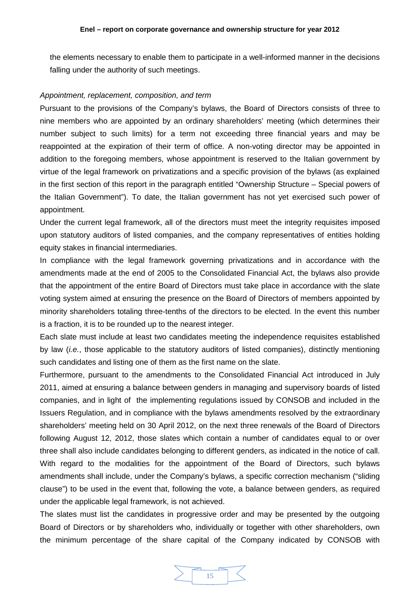the elements necessary to enable them to participate in a well-informed manner in the decisions falling under the authority of such meetings.

#### <span id="page-14-0"></span>*Appointment, replacement, composition, and term*

Pursuant to the provisions of the Company's bylaws, the Board of Directors consists of three to nine members who are appointed by an ordinary shareholders' meeting (which determines their number subject to such limits) for a term not exceeding three financial years and may be reappointed at the expiration of their term of office. A non-voting director may be appointed in addition to the foregoing members, whose appointment is reserved to the Italian government by virtue of the legal framework on privatizations and a specific provision of the bylaws (as explained in the first section of this report in the paragraph entitled "Ownership Structure – Special powers of the Italian Government"). To date, the Italian government has not yet exercised such power of appointment.

Under the current legal framework, all of the directors must meet the integrity requisites imposed upon statutory auditors of listed companies, and the company representatives of entities holding equity stakes in financial intermediaries.

In compliance with the legal framework governing privatizations and in accordance with the amendments made at the end of 2005 to the Consolidated Financial Act, the bylaws also provide that the appointment of the entire Board of Directors must take place in accordance with the slate voting system aimed at ensuring the presence on the Board of Directors of members appointed by minority shareholders totaling three-tenths of the directors to be elected. In the event this number is a fraction, it is to be rounded up to the nearest integer.

Each slate must include at least two candidates meeting the independence requisites established by law (*i.e.*, those applicable to the statutory auditors of listed companies), distinctly mentioning such candidates and listing one of them as the first name on the slate.

Furthermore, pursuant to the amendments to the Consolidated Financial Act introduced in July 2011, aimed at ensuring a balance between genders in managing and supervisory boards of listed companies, and in light of the implementing regulations issued by CONSOB and included in the Issuers Regulation, and in compliance with the bylaws amendments resolved by the extraordinary shareholders' meeting held on 30 April 2012, on the next three renewals of the Board of Directors following August 12, 2012, those slates which contain a number of candidates equal to or over three shall also include candidates belonging to different genders, as indicated in the notice of call. With regard to the modalities for the appointment of the Board of Directors, such bylaws amendments shall include, under the Company's bylaws, a specific correction mechanism ("sliding clause") to be used in the event that, following the vote, a balance between genders, as required under the applicable legal framework, is not achieved.

The slates must list the candidates in progressive order and may be presented by the outgoing Board of Directors or by shareholders who, individually or together with other shareholders, own the minimum percentage of the share capital of the Company indicated by CONSOB with

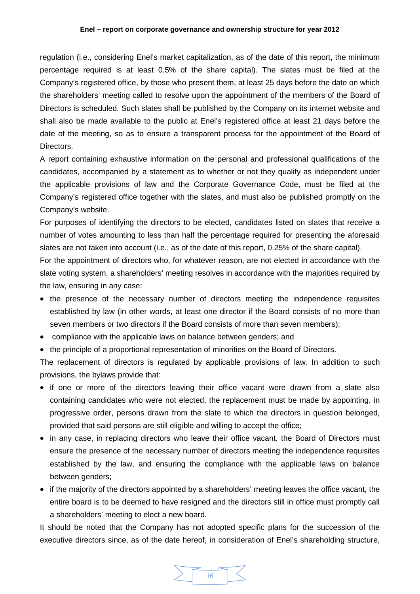#### **Enel – report on corporate governance and ownership structure for year 2012**

regulation (i.e., considering Enel's market capitalization, as of the date of this report, the minimum percentage required is at least 0.5% of the share capital). The slates must be filed at the Company's registered office, by those who present them, at least 25 days before the date on which the shareholders' meeting called to resolve upon the appointment of the members of the Board of Directors is scheduled. Such slates shall be published by the Company on its internet website and shall also be made available to the public at Enel's registered office at least 21 days before the date of the meeting, so as to ensure a transparent process for the appointment of the Board of Directors.

A report containing exhaustive information on the personal and professional qualifications of the candidates, accompanied by a statement as to whether or not they qualify as independent under the applicable provisions of law and the Corporate Governance Code, must be filed at the Company's registered office together with the slates, and must also be published promptly on the Company's website.

For purposes of identifying the directors to be elected, candidates listed on slates that receive a number of votes amounting to less than half the percentage required for presenting the aforesaid slates are not taken into account (i.e., as of the date of this report, 0.25% of the share capital).

For the appointment of directors who, for whatever reason, are not elected in accordance with the slate voting system, a shareholders' meeting resolves in accordance with the majorities required by the law, ensuring in any case:

- the presence of the necessary number of directors meeting the independence requisites established by law (in other words, at least one director if the Board consists of no more than seven members or two directors if the Board consists of more than seven members);
- compliance with the applicable laws on balance between genders; and
- the principle of a proportional representation of minorities on the Board of Directors.

The replacement of directors is regulated by applicable provisions of law. In addition to such provisions, the bylaws provide that:

- if one or more of the directors leaving their office vacant were drawn from a slate also containing candidates who were not elected, the replacement must be made by appointing, in progressive order, persons drawn from the slate to which the directors in question belonged, provided that said persons are still eligible and willing to accept the office;
- in any case, in replacing directors who leave their office vacant, the Board of Directors must ensure the presence of the necessary number of directors meeting the independence requisites established by the law, and ensuring the compliance with the applicable laws on balance between genders;
- if the majority of the directors appointed by a shareholders' meeting leaves the office vacant, the entire board is to be deemed to have resigned and the directors still in office must promptly call a shareholders' meeting to elect a new board.

It should be noted that the Company has not adopted specific plans for the succession of the executive directors since, as of the date hereof, in consideration of Enel's shareholding structure,

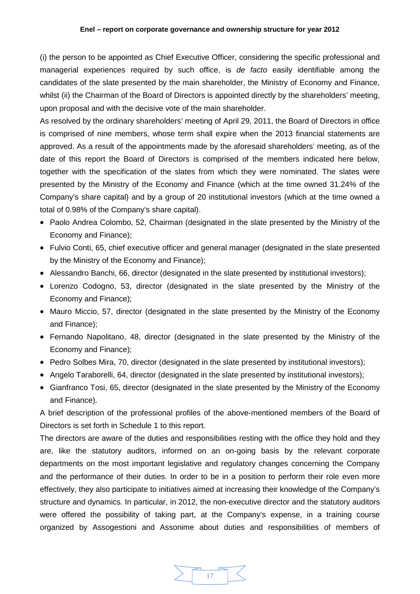(i) the person to be appointed as Chief Executive Officer, considering the specific professional and managerial experiences required by such office, is *de facto* easily identifiable among the candidates of the slate presented by the main shareholder, the Ministry of Economy and Finance, whilst (ii) the Chairman of the Board of Directors is appointed directly by the shareholders' meeting, upon proposal and with the decisive vote of the main shareholder.

As resolved by the ordinary shareholders' meeting of April 29, 2011, the Board of Directors in office is comprised of nine members, whose term shall expire when the 2013 financial statements are approved. As a result of the appointments made by the aforesaid shareholders' meeting, as of the date of this report the Board of Directors is comprised of the members indicated here below, together with the specification of the slates from which they were nominated. The slates were presented by the Ministry of the Economy and Finance (which at the time owned 31.24% of the Company's share capital) and by a group of 20 institutional investors (which at the time owned a total of 0.98% of the Company's share capital).

- Paolo Andrea Colombo, 52, Chairman (designated in the slate presented by the Ministry of the Economy and Finance);
- Fulvio Conti, 65, chief executive officer and general manager (designated in the slate presented by the Ministry of the Economy and Finance);
- Alessandro Banchi, 66, director (designated in the slate presented by institutional investors);
- Lorenzo Codogno, 53, director (designated in the slate presented by the Ministry of the Economy and Finance);
- Mauro Miccio, 57, director (designated in the slate presented by the Ministry of the Economy and Finance);
- Fernando Napolitano, 48, director (designated in the slate presented by the Ministry of the Economy and Finance);
- Pedro Solbes Mira, 70, director (designated in the slate presented by institutional investors);
- Angelo Taraborelli, 64, director (designated in the slate presented by institutional investors);
- Gianfranco Tosi, 65, director (designated in the slate presented by the Ministry of the Economy and Finance).

A brief description of the professional profiles of the above-mentioned members of the Board of Directors is set forth in Schedule 1 to this report.

The directors are aware of the duties and responsibilities resting with the office they hold and they are, like the statutory auditors, informed on an on-going basis by the relevant corporate departments on the most important legislative and regulatory changes concerning the Company and the performance of their duties. In order to be in a position to perform their role even more effectively, they also participate to initiatives aimed at increasing their knowledge of the Company's structure and dynamics. In particular, in 2012, the non-executive director and the statutory auditors were offered the possibility of taking part, at the Company's expense, in a training course organized by Assogestioni and Assonime about duties and responsibilities of members of

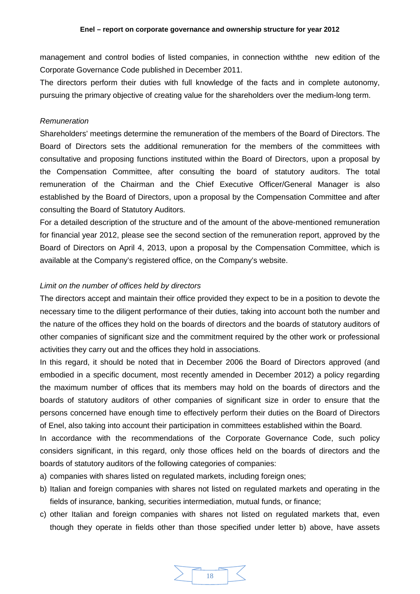management and control bodies of listed companies, in connection withthe new edition of the Corporate Governance Code published in December 2011.

The directors perform their duties with full knowledge of the facts and in complete autonomy, pursuing the primary objective of creating value for the shareholders over the medium-long term.

### <span id="page-17-0"></span>*Remuneration*

Shareholders' meetings determine the remuneration of the members of the Board of Directors. The Board of Directors sets the additional remuneration for the members of the committees with consultative and proposing functions instituted within the Board of Directors, upon a proposal by the Compensation Committee, after consulting the board of statutory auditors. The total remuneration of the Chairman and the Chief Executive Officer/General Manager is also established by the Board of Directors, upon a proposal by the Compensation Committee and after consulting the Board of Statutory Auditors.

For a detailed description of the structure and of the amount of the above-mentioned remuneration for financial year 2012, please see the second section of the remuneration report, approved by the Board of Directors on April 4, 2013, upon a proposal by the Compensation Committee, which is available at the Company's registered office, on the Company's website.

# <span id="page-17-1"></span>*Limit on the number of offices held by directors*

The directors accept and maintain their office provided they expect to be in a position to devote the necessary time to the diligent performance of their duties, taking into account both the number and the nature of the offices they hold on the boards of directors and the boards of statutory auditors of other companies of significant size and the commitment required by the other work or professional activities they carry out and the offices they hold in associations.

In this regard, it should be noted that in December 2006 the Board of Directors approved (and embodied in a specific document, most recently amended in December 2012) a policy regarding the maximum number of offices that its members may hold on the boards of directors and the boards of statutory auditors of other companies of significant size in order to ensure that the persons concerned have enough time to effectively perform their duties on the Board of Directors of Enel, also taking into account their participation in committees established within the Board.

In accordance with the recommendations of the Corporate Governance Code, such policy considers significant, in this regard, only those offices held on the boards of directors and the boards of statutory auditors of the following categories of companies:

- a) companies with shares listed on regulated markets, including foreign ones;
- b) Italian and foreign companies with shares not listed on regulated markets and operating in the fields of insurance, banking, securities intermediation, mutual funds, or finance;
- c) other Italian and foreign companies with shares not listed on regulated markets that, even though they operate in fields other than those specified under letter b) above, have assets

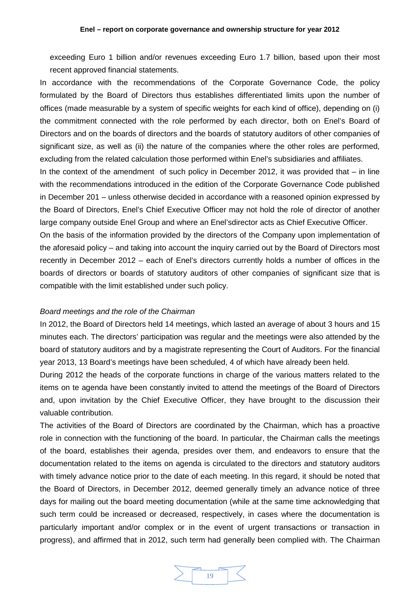exceeding Euro 1 billion and/or revenues exceeding Euro 1.7 billion, based upon their most recent approved financial statements.

In accordance with the recommendations of the Corporate Governance Code, the policy formulated by the Board of Directors thus establishes differentiated limits upon the number of offices (made measurable by a system of specific weights for each kind of office), depending on (i) the commitment connected with the role performed by each director, both on Enel's Board of Directors and on the boards of directors and the boards of statutory auditors of other companies of significant size, as well as (ii) the nature of the companies where the other roles are performed, excluding from the related calculation those performed within Enel's subsidiaries and affiliates.

In the context of the amendment of such policy in December 2012, it was provided that – in line with the recommendations introduced in the edition of the Corporate Governance Code published in December 201 – unless otherwise decided in accordance with a reasoned opinion expressed by the Board of Directors, Enel's Chief Executive Officer may not hold the role of director of another large company outside Enel Group and where an Enel'sdirector acts as Chief Executive Officer.

On the basis of the information provided by the directors of the Company upon implementation of the aforesaid policy – and taking into account the inquiry carried out by the Board of Directors most recently in December 2012 – each of Enel's directors currently holds a number of offices in the boards of directors or boards of statutory auditors of other companies of significant size that is compatible with the limit established under such policy.

#### <span id="page-18-0"></span>*Board meetings and the role of the Chairman*

In 2012, the Board of Directors held 14 meetings, which lasted an average of about 3 hours and 15 minutes each. The directors' participation was regular and the meetings were also attended by the board of statutory auditors and by a magistrate representing the Court of Auditors. For the financial year 2013, 13 Board's meetings have been scheduled, 4 of which have already been held.

During 2012 the heads of the corporate functions in charge of the various matters related to the items on te agenda have been constantly invited to attend the meetings of the Board of Directors and, upon invitation by the Chief Executive Officer, they have brought to the discussion their valuable contribution.

The activities of the Board of Directors are coordinated by the Chairman, which has a proactive role in connection with the functioning of the board. In particular, the Chairman calls the meetings of the board, establishes their agenda, presides over them, and endeavors to ensure that the documentation related to the items on agenda is circulated to the directors and statutory auditors with timely advance notice prior to the date of each meeting. In this regard, it should be noted that the Board of Directors, in December 2012, deemed generally timely an advance notice of three days for mailing out the board meeting documentation (while at the same time acknowledging that such term could be increased or decreased, respectively, in cases where the documentation is particularly important and/or complex or in the event of urgent transactions or transaction in progress), and affirmed that in 2012, such term had generally been complied with. The Chairman

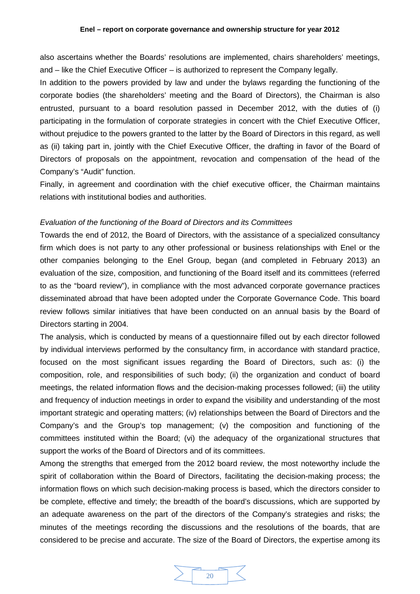also ascertains whether the Boards' resolutions are implemented, chairs shareholders' meetings, and – like the Chief Executive Officer – is authorized to represent the Company legally.

In addition to the powers provided by law and under the bylaws regarding the functioning of the corporate bodies (the shareholders' meeting and the Board of Directors), the Chairman is also entrusted, pursuant to a board resolution passed in December 2012, with the duties of (i) participating in the formulation of corporate strategies in concert with the Chief Executive Officer, without prejudice to the powers granted to the latter by the Board of Directors in this regard, as well as (ii) taking part in, jointly with the Chief Executive Officer, the drafting in favor of the Board of Directors of proposals on the appointment, revocation and compensation of the head of the Company's "Audit" function.

Finally, in agreement and coordination with the chief executive officer, the Chairman maintains relations with institutional bodies and authorities.

### <span id="page-19-0"></span>*Evaluation of the functioning of the Board of Directors and its Committees*

Towards the end of 2012, the Board of Directors, with the assistance of a specialized consultancy firm which does is not party to any other professional or business relationships with Enel or the other companies belonging to the Enel Group, began (and completed in February 2013) an evaluation of the size, composition, and functioning of the Board itself and its committees (referred to as the "board review"), in compliance with the most advanced corporate governance practices disseminated abroad that have been adopted under the Corporate Governance Code. This board review follows similar initiatives that have been conducted on an annual basis by the Board of Directors starting in 2004.

The analysis, which is conducted by means of a questionnaire filled out by each director followed by individual interviews performed by the consultancy firm, in accordance with standard practice, focused on the most significant issues regarding the Board of Directors, such as: (i) the composition, role, and responsibilities of such body; (ii) the organization and conduct of board meetings, the related information flows and the decision-making processes followed; (iii) the utility and frequency of induction meetings in order to expand the visibility and understanding of the most important strategic and operating matters; (iv) relationships between the Board of Directors and the Company's and the Group's top management; (v) the composition and functioning of the committees instituted within the Board; (vi) the adequacy of the organizational structures that support the works of the Board of Directors and of its committees.

Among the strengths that emerged from the 2012 board review, the most noteworthy include the spirit of collaboration within the Board of Directors, facilitating the decision-making process; the information flows on which such decision-making process is based, which the directors consider to be complete, effective and timely; the breadth of the board's discussions, which are supported by an adequate awareness on the part of the directors of the Company's strategies and risks; the minutes of the meetings recording the discussions and the resolutions of the boards, that are considered to be precise and accurate. The size of the Board of Directors, the expertise among its

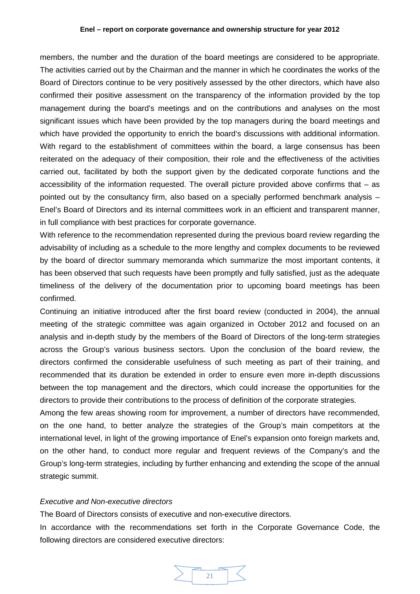#### **Enel – report on corporate governance and ownership structure for year 2012**

members, the number and the duration of the board meetings are considered to be appropriate. The activities carried out by the Chairman and the manner in which he coordinates the works of the Board of Directors continue to be very positively assessed by the other directors, which have also confirmed their positive assessment on the transparency of the information provided by the top management during the board's meetings and on the contributions and analyses on the most significant issues which have been provided by the top managers during the board meetings and which have provided the opportunity to enrich the board's discussions with additional information. With regard to the establishment of committees within the board, a large consensus has been reiterated on the adequacy of their composition, their role and the effectiveness of the activities carried out, facilitated by both the support given by the dedicated corporate functions and the accessibility of the information requested. The overall picture provided above confirms that  $-$  as pointed out by the consultancy firm, also based on a specially performed benchmark analysis – Enel's Board of Directors and its internal committees work in an efficient and transparent manner, in full compliance with best practices for corporate governance.

With reference to the recommendation represented during the previous board review regarding the advisability of including as a schedule to the more lengthy and complex documents to be reviewed by the board of director summary memoranda which summarize the most important contents, it has been observed that such requests have been promptly and fully satisfied, just as the adequate timeliness of the delivery of the documentation prior to upcoming board meetings has been confirmed.

Continuing an initiative introduced after the first board review (conducted in 2004), the annual meeting of the strategic committee was again organized in October 2012 and focused on an analysis and in-depth study by the members of the Board of Directors of the long-term strategies across the Group's various business sectors. Upon the conclusion of the board review, the directors confirmed the considerable usefulness of such meeting as part of their training, and recommended that its duration be extended in order to ensure even more in-depth discussions between the top management and the directors, which could increase the opportunities for the directors to provide their contributions to the process of definition of the corporate strategies.

Among the few areas showing room for improvement, a number of directors have recommended, on the one hand, to better analyze the strategies of the Group's main competitors at the international level, in light of the growing importance of Enel's expansion onto foreign markets and, on the other hand, to conduct more regular and frequent reviews of the Company's and the Group's long-term strategies, including by further enhancing and extending the scope of the annual strategic summit.

# <span id="page-20-0"></span>*Executive and Non-executive directors*

The Board of Directors consists of executive and non-executive directors.

In accordance with the recommendations set forth in the Corporate Governance Code, the following directors are considered executive directors:

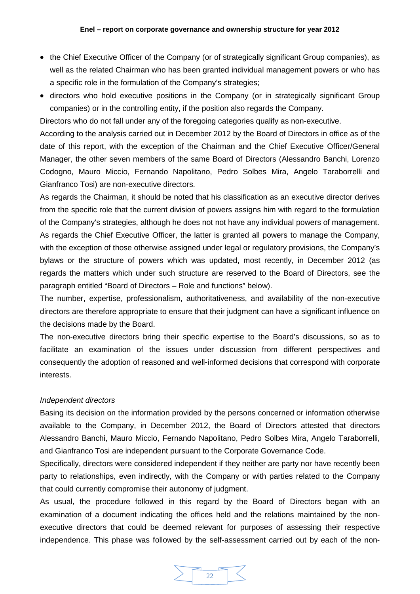- the Chief Executive Officer of the Company (or of strategically significant Group companies), as well as the related Chairman who has been granted individual management powers or who has a specific role in the formulation of the Company's strategies;
- directors who hold executive positions in the Company (or in strategically significant Group companies) or in the controlling entity, if the position also regards the Company.

Directors who do not fall under any of the foregoing categories qualify as non-executive.

According to the analysis carried out in December 2012 by the Board of Directors in office as of the date of this report, with the exception of the Chairman and the Chief Executive Officer/General Manager, the other seven members of the same Board of Directors (Alessandro Banchi, Lorenzo Codogno, Mauro Miccio, Fernando Napolitano, Pedro Solbes Mira, Angelo Taraborrelli and Gianfranco Tosi) are non-executive directors.

As regards the Chairman, it should be noted that his classification as an executive director derives from the specific role that the current division of powers assigns him with regard to the formulation of the Company's strategies, although he does not not have any individual powers of management. As regards the Chief Executive Officer, the latter is granted all powers to manage the Company, with the exception of those otherwise assigned under legal or regulatory provisions, the Company's bylaws or the structure of powers which was updated, most recently, in December 2012 (as regards the matters which under such structure are reserved to the Board of Directors, see the paragraph entitled "Board of Directors – Role and functions" below).

The number, expertise, professionalism, authoritativeness, and availability of the non-executive directors are therefore appropriate to ensure that their judgment can have a significant influence on the decisions made by the Board.

The non-executive directors bring their specific expertise to the Board's discussions, so as to facilitate an examination of the issues under discussion from different perspectives and consequently the adoption of reasoned and well-informed decisions that correspond with corporate interests.

# <span id="page-21-0"></span>*Independent directors*

Basing its decision on the information provided by the persons concerned or information otherwise available to the Company, in December 2012, the Board of Directors attested that directors Alessandro Banchi, Mauro Miccio, Fernando Napolitano, Pedro Solbes Mira, Angelo Taraborrelli, and Gianfranco Tosi are independent pursuant to the Corporate Governance Code.

Specifically, directors were considered independent if they neither are party nor have recently been party to relationships, even indirectly, with the Company or with parties related to the Company that could currently compromise their autonomy of judgment.

As usual, the procedure followed in this regard by the Board of Directors began with an examination of a document indicating the offices held and the relations maintained by the nonexecutive directors that could be deemed relevant for purposes of assessing their respective independence. This phase was followed by the self-assessment carried out by each of the non-

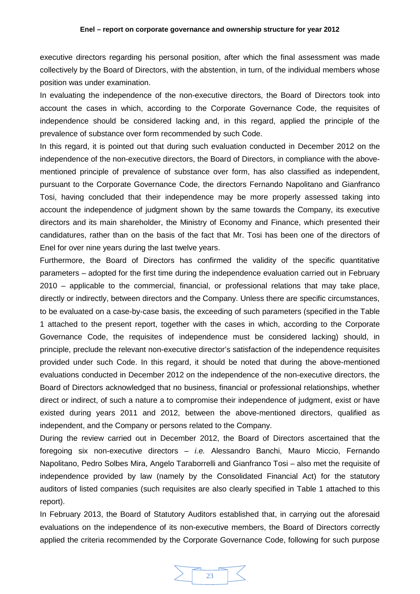executive directors regarding his personal position, after which the final assessment was made collectively by the Board of Directors, with the abstention, in turn, of the individual members whose position was under examination.

In evaluating the independence of the non-executive directors, the Board of Directors took into account the cases in which, according to the Corporate Governance Code, the requisites of independence should be considered lacking and, in this regard, applied the principle of the prevalence of substance over form recommended by such Code.

In this regard, it is pointed out that during such evaluation conducted in December 2012 on the independence of the non-executive directors, the Board of Directors, in compliance with the abovementioned principle of prevalence of substance over form, has also classified as independent, pursuant to the Corporate Governance Code, the directors Fernando Napolitano and Gianfranco Tosi, having concluded that their independence may be more properly assessed taking into account the independence of judgment shown by the same towards the Company, its executive directors and its main shareholder, the Ministry of Economy and Finance, which presented their candidatures, rather than on the basis of the fact that Mr. Tosi has been one of the directors of Enel for over nine years during the last twelve years.

Furthermore, the Board of Directors has confirmed the validity of the specific quantitative parameters – adopted for the first time during the independence evaluation carried out in February 2010 – applicable to the commercial, financial, or professional relations that may take place, directly or indirectly, between directors and the Company. Unless there are specific circumstances, to be evaluated on a case-by-case basis, the exceeding of such parameters (specified in the Table 1 attached to the present report, together with the cases in which, according to the Corporate Governance Code, the requisites of independence must be considered lacking) should, in principle, preclude the relevant non-executive director's satisfaction of the independence requisites provided under such Code. In this regard, it should be noted that during the above-mentioned evaluations conducted in December 2012 on the independence of the non-executive directors, the Board of Directors acknowledged that no business, financial or professional relationships, whether direct or indirect, of such a nature a to compromise their independence of judgment, exist or have existed during years 2011 and 2012, between the above-mentioned directors, qualified as independent, and the Company or persons related to the Company.

During the review carried out in December 2012, the Board of Directors ascertained that the foregoing six non-executive directors – *i.e.* Alessandro Banchi, Mauro Miccio, Fernando Napolitano, Pedro Solbes Mira, Angelo Taraborrelli and Gianfranco Tosi – also met the requisite of independence provided by law (namely by the Consolidated Financial Act) for the statutory auditors of listed companies (such requisites are also clearly specified in Table 1 attached to this report).

In February 2013, the Board of Statutory Auditors established that, in carrying out the aforesaid evaluations on the independence of its non-executive members, the Board of Directors correctly applied the criteria recommended by the Corporate Governance Code, following for such purpose

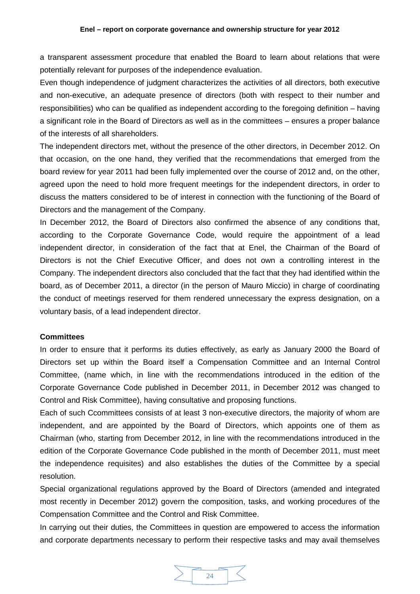a transparent assessment procedure that enabled the Board to learn about relations that were potentially relevant for purposes of the independence evaluation.

Even though independence of judgment characterizes the activities of all directors, both executive and non-executive, an adequate presence of directors (both with respect to their number and responsibilities) who can be qualified as independent according to the foregoing definition – having a significant role in the Board of Directors as well as in the committees – ensures a proper balance of the interests of all shareholders.

The independent directors met, without the presence of the other directors, in December 2012. On that occasion, on the one hand, they verified that the recommendations that emerged from the board review for year 2011 had been fully implemented over the course of 2012 and, on the other, agreed upon the need to hold more frequent meetings for the independent directors, in order to discuss the matters considered to be of interest in connection with the functioning of the Board of Directors and the management of the Company.

In December 2012, the Board of Directors also confirmed the absence of any conditions that, according to the Corporate Governance Code, would require the appointment of a lead independent director, in consideration of the fact that at Enel, the Chairman of the Board of Directors is not the Chief Executive Officer, and does not own a controlling interest in the Company. The independent directors also concluded that the fact that they had identified within the board, as of December 2011, a director (in the person of Mauro Miccio) in charge of coordinating the conduct of meetings reserved for them rendered unnecessary the express designation, on a voluntary basis, of a lead independent director.

### <span id="page-23-0"></span>**Committees**

In order to ensure that it performs its duties effectively, as early as January 2000 the Board of Directors set up within the Board itself a Compensation Committee and an Internal Control Committee, (name which, in line with the recommendations introduced in the edition of the Corporate Governance Code published in December 2011, in December 2012 was changed to Control and Risk Committee), having consultative and proposing functions.

Each of such Ccommittees consists of at least 3 non-executive directors, the majority of whom are independent, and are appointed by the Board of Directors, which appoints one of them as Chairman (who, starting from December 2012, in line with the recommendations introduced in the edition of the Corporate Governance Code published in the month of December 2011, must meet the independence requisites) and also establishes the duties of the Committee by a special resolution.

Special organizational regulations approved by the Board of Directors (amended and integrated most recently in December 2012) govern the composition, tasks, and working procedures of the Compensation Committee and the Control and Risk Committee.

In carrying out their duties, the Committees in question are empowered to access the information and corporate departments necessary to perform their respective tasks and may avail themselves

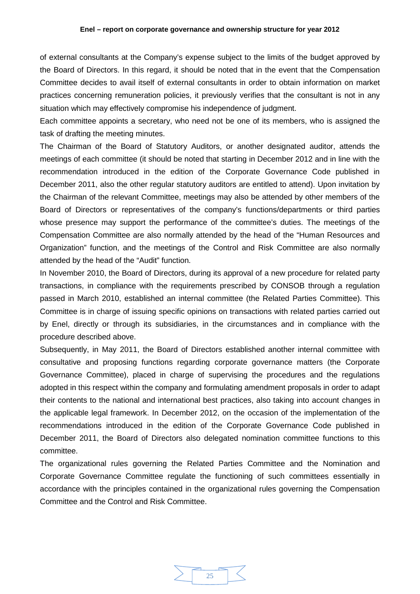of external consultants at the Company's expense subject to the limits of the budget approved by the Board of Directors. In this regard, it should be noted that in the event that the Compensation Committee decides to avail itself of external consultants in order to obtain information on market practices concerning remuneration policies, it previously verifies that the consultant is not in any situation which may effectively compromise his independence of judgment.

Each committee appoints a secretary, who need not be one of its members, who is assigned the task of drafting the meeting minutes.

The Chairman of the Board of Statutory Auditors, or another designated auditor, attends the meetings of each committee (it should be noted that starting in December 2012 and in line with the recommendation introduced in the edition of the Corporate Governance Code published in December 2011, also the other regular statutory auditors are entitled to attend). Upon invitation by the Chairman of the relevant Committee, meetings may also be attended by other members of the Board of Directors or representatives of the company's functions/departments or third parties whose presence may support the performance of the committee's duties. The meetings of the Compensation Committee are also normally attended by the head of the "Human Resources and Organization" function, and the meetings of the Control and Risk Committee are also normally attended by the head of the "Audit" function.

In November 2010, the Board of Directors, during its approval of a new procedure for related party transactions, in compliance with the requirements prescribed by CONSOB through a regulation passed in March 2010, established an internal committee (the Related Parties Committee). This Committee is in charge of issuing specific opinions on transactions with related parties carried out by Enel, directly or through its subsidiaries, in the circumstances and in compliance with the procedure described above.

Subsequently, in May 2011, the Board of Directors established another internal committee with consultative and proposing functions regarding corporate governance matters (the Corporate Governance Committee), placed in charge of supervising the procedures and the regulations adopted in this respect within the company and formulating amendment proposals in order to adapt their contents to the national and international best practices, also taking into account changes in the applicable legal framework. In December 2012, on the occasion of the implementation of the recommendations introduced in the edition of the Corporate Governance Code published in December 2011, the Board of Directors also delegated nomination committee functions to this committee.

The organizational rules governing the Related Parties Committee and the Nomination and Corporate Governance Committee regulate the functioning of such committees essentially in accordance with the principles contained in the organizational rules governing the Compensation Committee and the Control and Risk Committee.

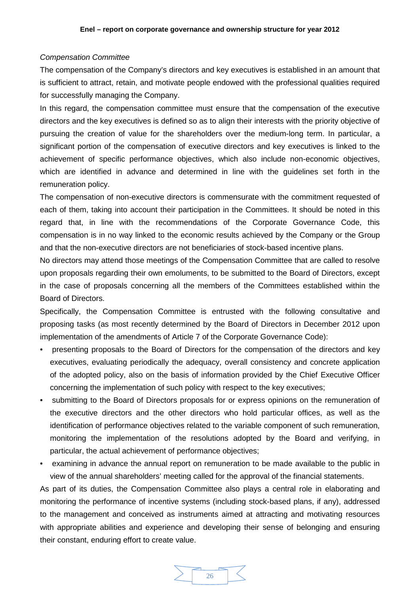# <span id="page-25-0"></span>*Compensation Committee*

The compensation of the Company's directors and key executives is established in an amount that is sufficient to attract, retain, and motivate people endowed with the professional qualities required for successfully managing the Company.

In this regard, the compensation committee must ensure that the compensation of the executive directors and the key executives is defined so as to align their interests with the priority objective of pursuing the creation of value for the shareholders over the medium-long term. In particular, a significant portion of the compensation of executive directors and key executives is linked to the achievement of specific performance objectives, which also include non-economic objectives, which are identified in advance and determined in line with the guidelines set forth in the remuneration policy.

The compensation of non-executive directors is commensurate with the commitment requested of each of them, taking into account their participation in the Committees. It should be noted in this regard that, in line with the recommendations of the Corporate Governance Code, this compensation is in no way linked to the economic results achieved by the Company or the Group and that the non-executive directors are not beneficiaries of stock-based incentive plans.

No directors may attend those meetings of the Compensation Committee that are called to resolve upon proposals regarding their own emoluments, to be submitted to the Board of Directors, except in the case of proposals concerning all the members of the Committees established within the Board of Directors.

Specifically, the Compensation Committee is entrusted with the following consultative and proposing tasks (as most recently determined by the Board of Directors in December 2012 upon implementation of the amendments of Article 7 of the Corporate Governance Code):

- presenting proposals to the Board of Directors for the compensation of the directors and key executives, evaluating periodically the adequacy, overall consistency and concrete application of the adopted policy, also on the basis of information provided by the Chief Executive Officer concerning the implementation of such policy with respect to the key executives;
- submitting to the Board of Directors proposals for or express opinions on the remuneration of the executive directors and the other directors who hold particular offices, as well as the identification of performance objectives related to the variable component of such remuneration, monitoring the implementation of the resolutions adopted by the Board and verifying, in particular, the actual achievement of performance objectives;
- examining in advance the annual report on remuneration to be made available to the public in view of the annual shareholders' meeting called for the approval of the financial statements.

As part of its duties, the Compensation Committee also plays a central role in elaborating and monitoring the performance of incentive systems (including stock-based plans, if any), addressed to the management and conceived as instruments aimed at attracting and motivating resources with appropriate abilities and experience and developing their sense of belonging and ensuring their constant, enduring effort to create value.

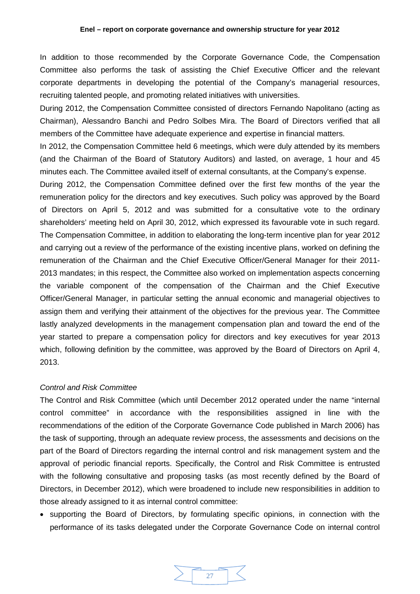In addition to those recommended by the Corporate Governance Code, the Compensation Committee also performs the task of assisting the Chief Executive Officer and the relevant corporate departments in developing the potential of the Company's managerial resources, recruiting talented people, and promoting related initiatives with universities.

During 2012, the Compensation Committee consisted of directors Fernando Napolitano (acting as Chairman), Alessandro Banchi and Pedro Solbes Mira. The Board of Directors verified that all members of the Committee have adequate experience and expertise in financial matters.

In 2012, the Compensation Committee held 6 meetings, which were duly attended by its members (and the Chairman of the Board of Statutory Auditors) and lasted, on average, 1 hour and 45 minutes each. The Committee availed itself of external consultants, at the Company's expense.

During 2012, the Compensation Committee defined over the first few months of the year the remuneration policy for the directors and key executives. Such policy was approved by the Board of Directors on April 5, 2012 and was submitted for a consultative vote to the ordinary shareholders' meeting held on April 30, 2012, which expressed its favourable vote in such regard. The Compensation Committee, in addition to elaborating the long-term incentive plan for year 2012 and carrying out a review of the performance of the existing incentive plans, worked on defining the remuneration of the Chairman and the Chief Executive Officer/General Manager for their 2011- 2013 mandates; in this respect, the Committee also worked on implementation aspects concerning the variable component of the compensation of the Chairman and the Chief Executive Officer/General Manager, in particular setting the annual economic and managerial objectives to assign them and verifying their attainment of the objectives for the previous year. The Committee lastly analyzed developments in the management compensation plan and toward the end of the year started to prepare a compensation policy for directors and key executives for year 2013 which, following definition by the committee, was approved by the Board of Directors on April 4, 2013.

### <span id="page-26-0"></span>*Control and Risk Committee*

The Control and Risk Committee (which until December 2012 operated under the name "internal control committee" in accordance with the responsibilities assigned in line with the recommendations of the edition of the Corporate Governance Code published in March 2006) has the task of supporting, through an adequate review process, the assessments and decisions on the part of the Board of Directors regarding the internal control and risk management system and the approval of periodic financial reports. Specifically, the Control and Risk Committee is entrusted with the following consultative and proposing tasks (as most recently defined by the Board of Directors, in December 2012), which were broadened to include new responsibilities in addition to those already assigned to it as internal control committee:

• supporting the Board of Directors, by formulating specific opinions, in connection with the performance of its tasks delegated under the Corporate Governance Code on internal control

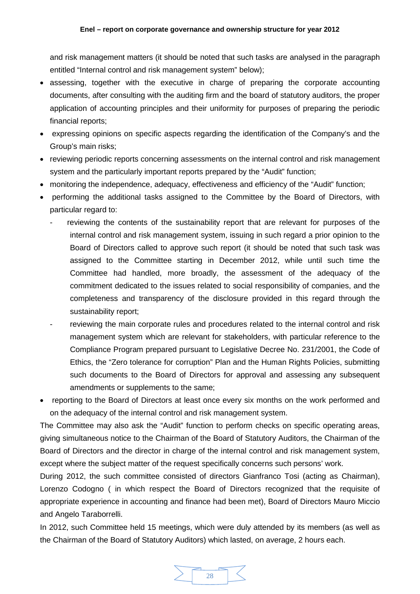and risk management matters (it should be noted that such tasks are analysed in the paragraph entitled "Internal control and risk management system" below);

- assessing, together with the executive in charge of preparing the corporate accounting documents, after consulting with the auditing firm and the board of statutory auditors, the proper application of accounting principles and their uniformity for purposes of preparing the periodic financial reports;
- expressing opinions on specific aspects regarding the identification of the Company's and the Group's main risks;
- reviewing periodic reports concerning assessments on the internal control and risk management system and the particularly important reports prepared by the "Audit" function;
- monitoring the independence, adequacy, effectiveness and efficiency of the "Audit" function;
- performing the additional tasks assigned to the Committee by the Board of Directors, with particular regard to:
	- reviewing the contents of the sustainability report that are relevant for purposes of the internal control and risk management system, issuing in such regard a prior opinion to the Board of Directors called to approve such report (it should be noted that such task was assigned to the Committee starting in December 2012, while until such time the Committee had handled, more broadly, the assessment of the adequacy of the commitment dedicated to the issues related to social responsibility of companies, and the completeness and transparency of the disclosure provided in this regard through the sustainability report;
	- reviewing the main corporate rules and procedures related to the internal control and risk management system which are relevant for stakeholders, with particular reference to the Compliance Program prepared pursuant to Legislative Decree No. 231/2001, the Code of Ethics, the "Zero tolerance for corruption" Plan and the Human Rights Policies, submitting such documents to the Board of Directors for approval and assessing any subsequent amendments or supplements to the same;
- reporting to the Board of Directors at least once every six months on the work performed and on the adequacy of the internal control and risk management system.

The Committee may also ask the "Audit" function to perform checks on specific operating areas, giving simultaneous notice to the Chairman of the Board of Statutory Auditors, the Chairman of the Board of Directors and the director in charge of the internal control and risk management system, except where the subject matter of the request specifically concerns such persons' work.

During 2012, the such committee consisted of directors Gianfranco Tosi (acting as Chairman), Lorenzo Codogno ( in which respect the Board of Directors recognized that the requisite of appropriate experience in accounting and finance had been met), Board of Directors Mauro Miccio and Angelo Taraborrelli.

In 2012, such Committee held 15 meetings, which were duly attended by its members (as well as the Chairman of the Board of Statutory Auditors) which lasted, on average, 2 hours each.

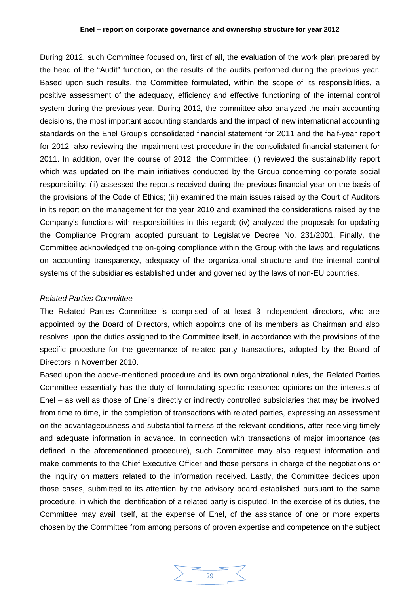#### **Enel – report on corporate governance and ownership structure for year 2012**

During 2012, such Committee focused on, first of all, the evaluation of the work plan prepared by the head of the "Audit" function, on the results of the audits performed during the previous year. Based upon such results, the Committee formulated, within the scope of its responsibilities, a positive assessment of the adequacy, efficiency and effective functioning of the internal control system during the previous year. During 2012, the committee also analyzed the main accounting decisions, the most important accounting standards and the impact of new international accounting standards on the Enel Group's consolidated financial statement for 2011 and the half-year report for 2012, also reviewing the impairment test procedure in the consolidated financial statement for 2011. In addition, over the course of 2012, the Committee: (i) reviewed the sustainability report which was updated on the main initiatives conducted by the Group concerning corporate social responsibility; (ii) assessed the reports received during the previous financial year on the basis of the provisions of the Code of Ethics; (iii) examined the main issues raised by the Court of Auditors in its report on the management for the year 2010 and examined the considerations raised by the Company's functions with responsibilities in this regard; (iv) analyzed the proposals for updating the Compliance Program adopted pursuant to Legislative Decree No. 231/2001. Finally, the Committee acknowledged the on-going compliance within the Group with the laws and regulations on accounting transparency, adequacy of the organizational structure and the internal control systems of the subsidiaries established under and governed by the laws of non-EU countries.

### <span id="page-28-0"></span>*Related Parties Committee*

The Related Parties Committee is comprised of at least 3 independent directors, who are appointed by the Board of Directors, which appoints one of its members as Chairman and also resolves upon the duties assigned to the Committee itself, in accordance with the provisions of the specific procedure for the governance of related party transactions, adopted by the Board of Directors in November 2010.

Based upon the above-mentioned procedure and its own organizational rules, the Related Parties Committee essentially has the duty of formulating specific reasoned opinions on the interests of Enel – as well as those of Enel's directly or indirectly controlled subsidiaries that may be involved from time to time, in the completion of transactions with related parties, expressing an assessment on the advantageousness and substantial fairness of the relevant conditions, after receiving timely and adequate information in advance. In connection with transactions of major importance (as defined in the aforementioned procedure), such Committee may also request information and make comments to the Chief Executive Officer and those persons in charge of the negotiations or the inquiry on matters related to the information received. Lastly, the Committee decides upon those cases, submitted to its attention by the advisory board established pursuant to the same procedure, in which the identification of a related party is disputed. In the exercise of its duties, the Committee may avail itself, at the expense of Enel, of the assistance of one or more experts chosen by the Committee from among persons of proven expertise and competence on the subject

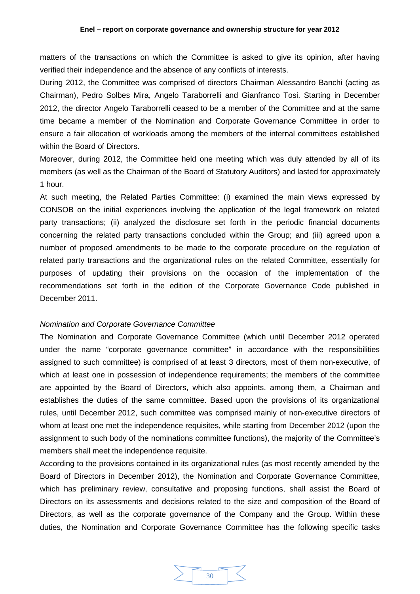matters of the transactions on which the Committee is asked to give its opinion, after having verified their independence and the absence of any conflicts of interests.

During 2012, the Committee was comprised of directors Chairman Alessandro Banchi (acting as Chairman), Pedro Solbes Mira, Angelo Taraborrelli and Gianfranco Tosi. Starting in December 2012, the director Angelo Taraborrelli ceased to be a member of the Committee and at the same time became a member of the Nomination and Corporate Governance Committee in order to ensure a fair allocation of workloads among the members of the internal committees established within the Board of Directors.

Moreover, during 2012, the Committee held one meeting which was duly attended by all of its members (as well as the Chairman of the Board of Statutory Auditors) and lasted for approximately 1 hour.

At such meeting, the Related Parties Committee: (i) examined the main views expressed by CONSOB on the initial experiences involving the application of the legal framework on related party transactions; (ii) analyzed the disclosure set forth in the periodic financial documents concerning the related party transactions concluded within the Group; and (iii) agreed upon a number of proposed amendments to be made to the corporate procedure on the regulation of related party transactions and the organizational rules on the related Committee, essentially for purposes of updating their provisions on the occasion of the implementation of the recommendations set forth in the edition of the Corporate Governance Code published in December 2011.

#### <span id="page-29-0"></span>*Nomination and Corporate Governance Committee*

The Nomination and Corporate Governance Committee (which until December 2012 operated under the name "corporate governance committee" in accordance with the responsibilities assigned to such committee) is comprised of at least 3 directors, most of them non-executive, of which at least one in possession of independence requirements; the members of the committee are appointed by the Board of Directors, which also appoints, among them, a Chairman and establishes the duties of the same committee. Based upon the provisions of its organizational rules, until December 2012, such committee was comprised mainly of non-executive directors of whom at least one met the independence requisites, while starting from December 2012 (upon the assignment to such body of the nominations committee functions), the majority of the Committee's members shall meet the independence requisite.

According to the provisions contained in its organizational rules (as most recently amended by the Board of Directors in December 2012), the Nomination and Corporate Governance Committee, which has preliminary review, consultative and proposing functions, shall assist the Board of Directors on its assessments and decisions related to the size and composition of the Board of Directors, as well as the corporate governance of the Company and the Group. Within these duties, the Nomination and Corporate Governance Committee has the following specific tasks

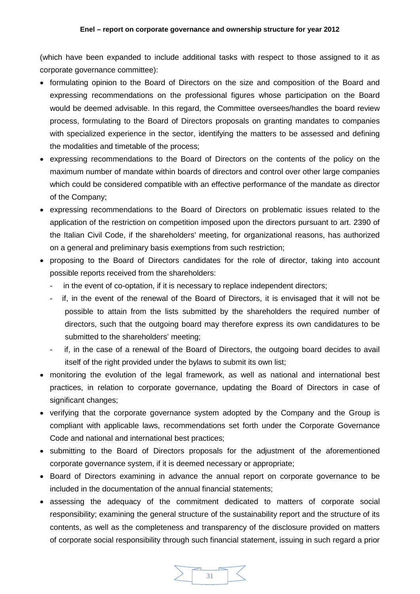(which have been expanded to include additional tasks with respect to those assigned to it as corporate governance committee):

- formulating opinion to the Board of Directors on the size and composition of the Board and expressing recommendations on the professional figures whose participation on the Board would be deemed advisable. In this regard, the Committee oversees/handles the board review process, formulating to the Board of Directors proposals on granting mandates to companies with specialized experience in the sector, identifying the matters to be assessed and defining the modalities and timetable of the process;
- expressing recommendations to the Board of Directors on the contents of the policy on the maximum number of mandate within boards of directors and control over other large companies which could be considered compatible with an effective performance of the mandate as director of the Company;
- expressing recommendations to the Board of Directors on problematic issues related to the application of the restriction on competition imposed upon the directors pursuant to art. 2390 of the Italian Civil Code, if the shareholders' meeting, for organizational reasons, has authorized on a general and preliminary basis exemptions from such restriction;
- proposing to the Board of Directors candidates for the role of director, taking into account possible reports received from the shareholders:
	- in the event of co-optation, if it is necessary to replace independent directors;
	- if, in the event of the renewal of the Board of Directors, it is envisaged that it will not be possible to attain from the lists submitted by the shareholders the required number of directors, such that the outgoing board may therefore express its own candidatures to be submitted to the shareholders' meeting;
	- if, in the case of a renewal of the Board of Directors, the outgoing board decides to avail itself of the right provided under the bylaws to submit its own list;
- monitoring the evolution of the legal framework, as well as national and international best practices, in relation to corporate governance, updating the Board of Directors in case of significant changes;
- verifying that the corporate governance system adopted by the Company and the Group is compliant with applicable laws, recommendations set forth under the Corporate Governance Code and national and international best practices;
- submitting to the Board of Directors proposals for the adjustment of the aforementioned corporate governance system, if it is deemed necessary or appropriate;
- Board of Directors examining in advance the annual report on corporate governance to be included in the documentation of the annual financial statements;
- assessing the adequacy of the commitment dedicated to matters of corporate social responsibility; examining the general structure of the sustainability report and the structure of its contents, as well as the completeness and transparency of the disclosure provided on matters of corporate social responsibility through such financial statement, issuing in such regard a prior

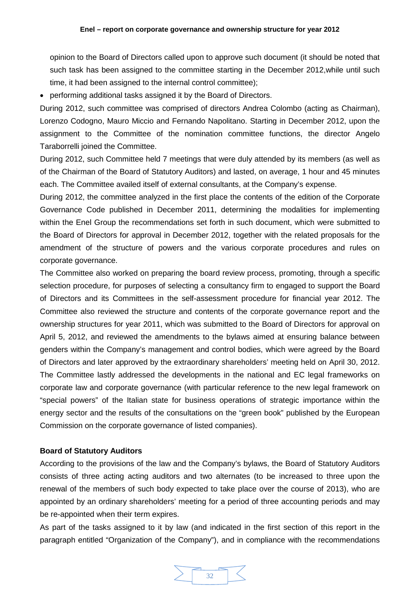opinion to the Board of Directors called upon to approve such document (it should be noted that such task has been assigned to the committee starting in the December 2012,while until such time, it had been assigned to the internal control committee);

• performing additional tasks assigned it by the Board of Directors.

During 2012, such committee was comprised of directors Andrea Colombo (acting as Chairman), Lorenzo Codogno, Mauro Miccio and Fernando Napolitano. Starting in December 2012, upon the assignment to the Committee of the nomination committee functions, the director Angelo Taraborrelli joined the Committee.

During 2012, such Committee held 7 meetings that were duly attended by its members (as well as of the Chairman of the Board of Statutory Auditors) and lasted, on average, 1 hour and 45 minutes each. The Committee availed itself of external consultants, at the Company's expense.

During 2012, the committee analyzed in the first place the contents of the edition of the Corporate Governance Code published in December 2011, determining the modalities for implementing within the Enel Group the recommendations set forth in such document, which were submitted to the Board of Directors for approval in December 2012, together with the related proposals for the amendment of the structure of powers and the various corporate procedures and rules on corporate governance.

The Committee also worked on preparing the board review process, promoting, through a specific selection procedure, for purposes of selecting a consultancy firm to engaged to support the Board of Directors and its Committees in the self-assessment procedure for financial year 2012. The Committee also reviewed the structure and contents of the corporate governance report and the ownership structures for year 2011, which was submitted to the Board of Directors for approval on April 5, 2012, and reviewed the amendments to the bylaws aimed at ensuring balance between genders within the Company's management and control bodies, which were agreed by the Board of Directors and later approved by the extraordinary shareholders' meeting held on April 30, 2012. The Committee lastly addressed the developments in the national and EC legal frameworks on corporate law and corporate governance (with particular reference to the new legal framework on "special powers" of the Italian state for business operations of strategic importance within the energy sector and the results of the consultations on the "green book" published by the European Commission on the corporate governance of listed companies).

# <span id="page-31-0"></span>**Board of Statutory Auditors**

According to the provisions of the law and the Company's bylaws, the Board of Statutory Auditors consists of three acting acting auditors and two alternates (to be increased to three upon the renewal of the members of such body expected to take place over the course of 2013), who are appointed by an ordinary shareholders' meeting for a period of three accounting periods and may be re-appointed when their term expires.

As part of the tasks assigned to it by law (and indicated in the first section of this report in the paragraph entitled "Organization of the Company"), and in compliance with the recommendations

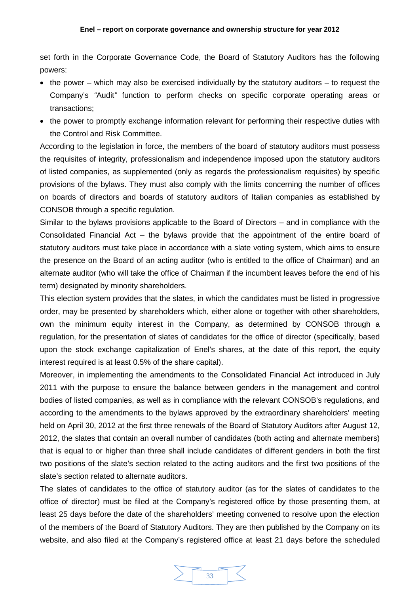set forth in the Corporate Governance Code, the Board of Statutory Auditors has the following powers:

- $\bullet$  the power which may also be exercised individually by the statutory auditors to request the Company's *"*Audit*"* function to perform checks on specific corporate operating areas or transactions;
- the power to promptly exchange information relevant for performing their respective duties with the Control and Risk Committee.

According to the legislation in force, the members of the board of statutory auditors must possess the requisites of integrity, professionalism and independence imposed upon the statutory auditors of listed companies, as supplemented (only as regards the professionalism requisites) by specific provisions of the bylaws. They must also comply with the limits concerning the number of offices on boards of directors and boards of statutory auditors of Italian companies as established by CONSOB through a specific regulation.

Similar to the bylaws provisions applicable to the Board of Directors – and in compliance with the Consolidated Financial Act – the bylaws provide that the appointment of the entire board of statutory auditors must take place in accordance with a slate voting system, which aims to ensure the presence on the Board of an acting auditor (who is entitled to the office of Chairman) and an alternate auditor (who will take the office of Chairman if the incumbent leaves before the end of his term) designated by minority shareholders.

This election system provides that the slates, in which the candidates must be listed in progressive order, may be presented by shareholders which, either alone or together with other shareholders, own the minimum equity interest in the Company, as determined by CONSOB through a regulation, for the presentation of slates of candidates for the office of director (specifically, based upon the stock exchange capitalization of Enel's shares, at the date of this report, the equity interest required is at least 0.5% of the share capital).

Moreover, in implementing the amendments to the Consolidated Financial Act introduced in July 2011 with the purpose to ensure the balance between genders in the management and control bodies of listed companies, as well as in compliance with the relevant CONSOB's regulations, and according to the amendments to the bylaws approved by the extraordinary shareholders' meeting held on April 30, 2012 at the first three renewals of the Board of Statutory Auditors after August 12, 2012, the slates that contain an overall number of candidates (both acting and alternate members) that is equal to or higher than three shall include candidates of different genders in both the first two positions of the slate's section related to the acting auditors and the first two positions of the slate's section related to alternate auditors.

The slates of candidates to the office of statutory auditor (as for the slates of candidates to the office of director) must be filed at the Company's registered office by those presenting them, at least 25 days before the date of the shareholders' meeting convened to resolve upon the election of the members of the Board of Statutory Auditors. They are then published by the Company on its website, and also filed at the Company's registered office at least 21 days before the scheduled

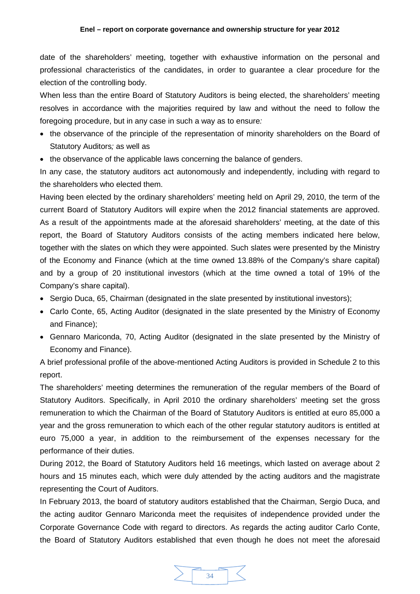date of the shareholders' meeting, together with exhaustive information on the personal and professional characteristics of the candidates, in order to guarantee a clear procedure for the election of the controlling body.

When less than the entire Board of Statutory Auditors is being elected, the shareholders' meeting resolves in accordance with the majorities required by law and without the need to follow the foregoing procedure, but in any case in such a way as to ensure*:*

- the observance of the principle of the representation of minority shareholders on the Board of Statutory Auditors*;* as well as
- the observance of the applicable laws concerning the balance of genders.

In any case, the statutory auditors act autonomously and independently, including with regard to the shareholders who elected them.

Having been elected by the ordinary shareholders' meeting held on April 29, 2010, the term of the current Board of Statutory Auditors will expire when the 2012 financial statements are approved. As a result of the appointments made at the aforesaid shareholders' meeting, at the date of this report, the Board of Statutory Auditors consists of the acting members indicated here below, together with the slates on which they were appointed. Such slates were presented by the Ministry of the Economy and Finance (which at the time owned 13.88% of the Company's share capital) and by a group of 20 institutional investors (which at the time owned a total of 19% of the Company's share capital).

- Sergio Duca, 65, Chairman (designated in the slate presented by institutional investors);
- Carlo Conte, 65, Acting Auditor (designated in the slate presented by the Ministry of Economy and Finance);
- Gennaro Mariconda, 70, Acting Auditor (designated in the slate presented by the Ministry of Economy and Finance).

A brief professional profile of the above-mentioned Acting Auditors is provided in Schedule 2 to this report.

The shareholders' meeting determines the remuneration of the regular members of the Board of Statutory Auditors. Specifically, in April 2010 the ordinary shareholders' meeting set the gross remuneration to which the Chairman of the Board of Statutory Auditors is entitled at euro 85,000 a year and the gross remuneration to which each of the other regular statutory auditors is entitled at euro 75,000 a year, in addition to the reimbursement of the expenses necessary for the performance of their duties.

During 2012, the Board of Statutory Auditors held 16 meetings, which lasted on average about 2 hours and 15 minutes each, which were duly attended by the acting auditors and the magistrate representing the Court of Auditors.

In February 2013, the board of statutory auditors established that the Chairman, Sergio Duca, and the acting auditor Gennaro Mariconda meet the requisites of independence provided under the Corporate Governance Code with regard to directors. As regards the acting auditor Carlo Conte, the Board of Statutory Auditors established that even though he does not meet the aforesaid

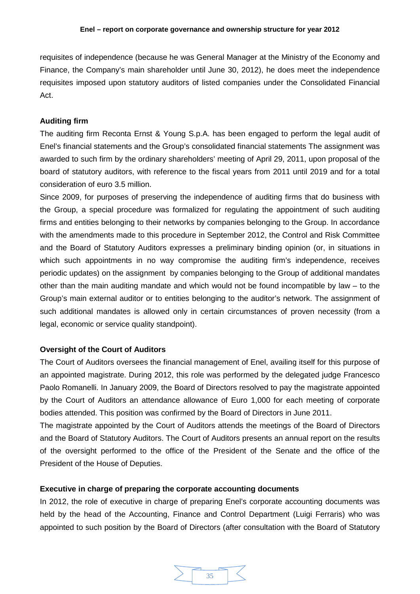requisites of independence (because he was General Manager at the Ministry of the Economy and Finance, the Company's main shareholder until June 30, 2012), he does meet the independence requisites imposed upon statutory auditors of listed companies under the Consolidated Financial Act.

# <span id="page-34-0"></span>**Auditing firm**

The auditing firm Reconta Ernst & Young S.p.A. has been engaged to perform the legal audit of Enel's financial statements and the Group's consolidated financial statements The assignment was awarded to such firm by the ordinary shareholders' meeting of April 29, 2011, upon proposal of the board of statutory auditors, with reference to the fiscal years from 2011 until 2019 and for a total consideration of euro 3.5 million.

Since 2009, for purposes of preserving the independence of auditing firms that do business with the Group, a special procedure was formalized for regulating the appointment of such auditing firms and entities belonging to their networks by companies belonging to the Group. In accordance with the amendments made to this procedure in September 2012, the Control and Risk Committee and the Board of Statutory Auditors expresses a preliminary binding opinion (or, in situations in which such appointments in no way compromise the auditing firm's independence, receives periodic updates) on the assignment by companies belonging to the Group of additional mandates other than the main auditing mandate and which would not be found incompatible by law – to the Group's main external auditor or to entities belonging to the auditor's network. The assignment of such additional mandates is allowed only in certain circumstances of proven necessity (from a legal, economic or service quality standpoint).

# <span id="page-34-1"></span>**Oversight of the Court of Auditors**

The Court of Auditors oversees the financial management of Enel, availing itself for this purpose of an appointed magistrate. During 2012, this role was performed by the delegated judge Francesco Paolo Romanelli. In January 2009, the Board of Directors resolved to pay the magistrate appointed by the Court of Auditors an attendance allowance of Euro 1,000 for each meeting of corporate bodies attended. This position was confirmed by the Board of Directors in June 2011.

The magistrate appointed by the Court of Auditors attends the meetings of the Board of Directors and the Board of Statutory Auditors. The Court of Auditors presents an annual report on the results of the oversight performed to the office of the President of the Senate and the office of the President of the House of Deputies.

# <span id="page-34-2"></span>**Executive in charge of preparing the corporate accounting documents**

In 2012, the role of executive in charge of preparing Enel's corporate accounting documents was held by the head of the Accounting, Finance and Control Department (Luigi Ferraris) who was appointed to such position by the Board of Directors (after consultation with the Board of Statutory

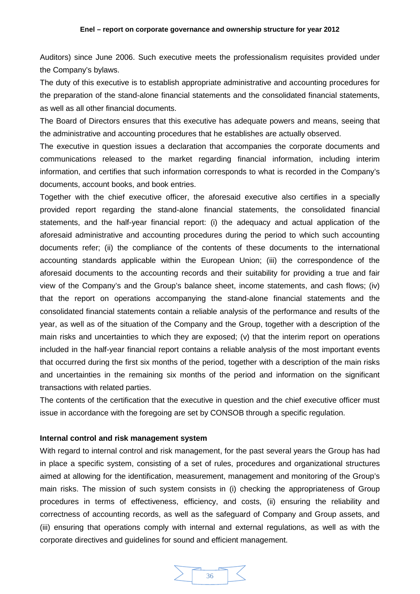Auditors) since June 2006. Such executive meets the professionalism requisites provided under the Company's bylaws.

The duty of this executive is to establish appropriate administrative and accounting procedures for the preparation of the stand-alone financial statements and the consolidated financial statements, as well as all other financial documents.

The Board of Directors ensures that this executive has adequate powers and means, seeing that the administrative and accounting procedures that he establishes are actually observed.

The executive in question issues a declaration that accompanies the corporate documents and communications released to the market regarding financial information, including interim information, and certifies that such information corresponds to what is recorded in the Company's documents, account books, and book entries.

Together with the chief executive officer, the aforesaid executive also certifies in a specially provided report regarding the stand-alone financial statements, the consolidated financial statements, and the half-year financial report: (i) the adequacy and actual application of the aforesaid administrative and accounting procedures during the period to which such accounting documents refer; (ii) the compliance of the contents of these documents to the international accounting standards applicable within the European Union; (iii) the correspondence of the aforesaid documents to the accounting records and their suitability for providing a true and fair view of the Company's and the Group's balance sheet, income statements, and cash flows; (iv) that the report on operations accompanying the stand-alone financial statements and the consolidated financial statements contain a reliable analysis of the performance and results of the year, as well as of the situation of the Company and the Group, together with a description of the main risks and uncertainties to which they are exposed; (v) that the interim report on operations included in the half-year financial report contains a reliable analysis of the most important events that occurred during the first six months of the period, together with a description of the main risks and uncertainties in the remaining six months of the period and information on the significant transactions with related parties.

The contents of the certification that the executive in question and the chief executive officer must issue in accordance with the foregoing are set by CONSOB through a specific regulation.

# <span id="page-35-0"></span>**Internal control and risk management system**

With regard to internal control and risk management, for the past several years the Group has had in place a specific system, consisting of a set of rules, procedures and organizational structures aimed at allowing for the identification, measurement, management and monitoring of the Group's main risks. The mission of such system consists in (i) checking the appropriateness of Group procedures in terms of effectiveness, efficiency, and costs, (ii) ensuring the reliability and correctness of accounting records, as well as the safeguard of Company and Group assets, and (iii) ensuring that operations comply with internal and external regulations, as well as with the corporate directives and guidelines for sound and efficient management.

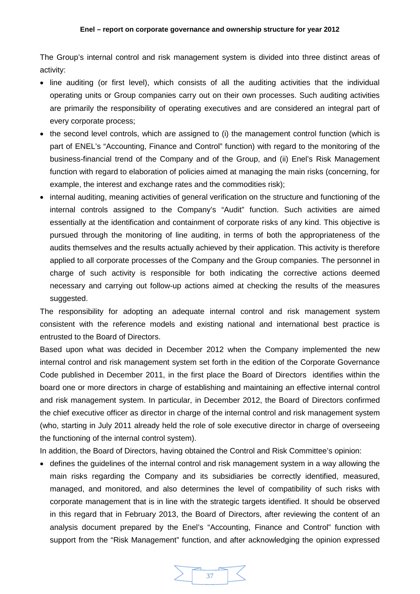The Group's internal control and risk management system is divided into three distinct areas of activity:

- line auditing (or first level), which consists of all the auditing activities that the individual operating units or Group companies carry out on their own processes. Such auditing activities are primarily the responsibility of operating executives and are considered an integral part of every corporate process;
- the second level controls, which are assigned to (i) the management control function (which is part of ENEL's "Accounting, Finance and Control" function) with regard to the monitoring of the business-financial trend of the Company and of the Group, and (ii) Enel's Risk Management function with regard to elaboration of policies aimed at managing the main risks (concerning, for example, the interest and exchange rates and the commodities risk);
- internal auditing, meaning activities of general verification on the structure and functioning of the internal controls assigned to the Company's "Audit" function. Such activities are aimed essentially at the identification and containment of corporate risks of any kind. This objective is pursued through the monitoring of line auditing, in terms of both the appropriateness of the audits themselves and the results actually achieved by their application. This activity is therefore applied to all corporate processes of the Company and the Group companies. The personnel in charge of such activity is responsible for both indicating the corrective actions deemed necessary and carrying out follow-up actions aimed at checking the results of the measures suggested.

The responsibility for adopting an adequate internal control and risk management system consistent with the reference models and existing national and international best practice is entrusted to the Board of Directors.

Based upon what was decided in December 2012 when the Company implemented the new internal control and risk management system set forth in the edition of the Corporate Governance Code published in December 2011, in the first place the Board of Directors identifies within the board one or more directors in charge of establishing and maintaining an effective internal control and risk management system. In particular, in December 2012, the Board of Directors confirmed the chief executive officer as director in charge of the internal control and risk management system (who, starting in July 2011 already held the role of sole executive director in charge of overseeing the functioning of the internal control system).

In addition, the Board of Directors, having obtained the Control and Risk Committee's opinion:

• defines the guidelines of the internal control and risk management system in a way allowing the main risks regarding the Company and its subsidiaries be correctly identified, measured, managed, and monitored, and also determines the level of compatibility of such risks with corporate management that is in line with the strategic targets identified. It should be observed in this regard that in February 2013, the Board of Directors, after reviewing the content of an analysis document prepared by the Enel's "Accounting, Finance and Control" function with support from the "Risk Management" function, and after acknowledging the opinion expressed

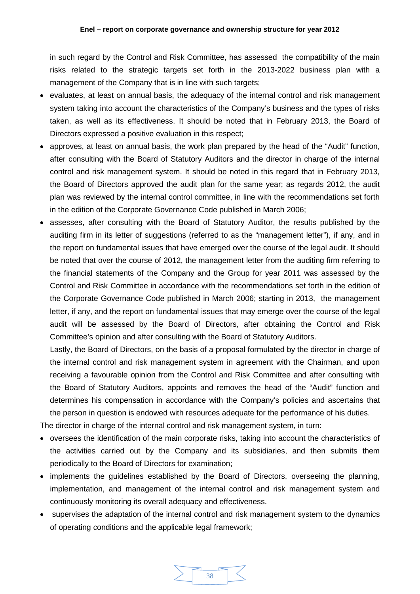in such regard by the Control and Risk Committee, has assessed the compatibility of the main risks related to the strategic targets set forth in the 2013-2022 business plan with a management of the Company that is in line with such targets;

- evaluates, at least on annual basis, the adequacy of the internal control and risk management system taking into account the characteristics of the Company's business and the types of risks taken, as well as its effectiveness. It should be noted that in February 2013, the Board of Directors expressed a positive evaluation in this respect;
- approves, at least on annual basis, the work plan prepared by the head of the "Audit" function, after consulting with the Board of Statutory Auditors and the director in charge of the internal control and risk management system. It should be noted in this regard that in February 2013, the Board of Directors approved the audit plan for the same year; as regards 2012, the audit plan was reviewed by the internal control committee, in line with the recommendations set forth in the edition of the Corporate Governance Code published in March 2006;
- assesses, after consulting with the Board of Statutory Auditor, the results published by the auditing firm in its letter of suggestions (referred to as the "management letter"), if any, and in the report on fundamental issues that have emerged over the course of the legal audit. It should be noted that over the course of 2012, the management letter from the auditing firm referring to the financial statements of the Company and the Group for year 2011 was assessed by the Control and Risk Committee in accordance with the recommendations set forth in the edition of the Corporate Governance Code published in March 2006; starting in 2013, the management letter, if any, and the report on fundamental issues that may emerge over the course of the legal audit will be assessed by the Board of Directors, after obtaining the Control and Risk Committee's opinion and after consulting with the Board of Statutory Auditors.

Lastly, the Board of Directors, on the basis of a proposal formulated by the director in charge of the internal control and risk management system in agreement with the Chairman, and upon receiving a favourable opinion from the Control and Risk Committee and after consulting with the Board of Statutory Auditors, appoints and removes the head of the "Audit" function and determines his compensation in accordance with the Company's policies and ascertains that the person in question is endowed with resources adequate for the performance of his duties.

The director in charge of the internal control and risk management system, in turn:

- oversees the identification of the main corporate risks, taking into account the characteristics of the activities carried out by the Company and its subsidiaries, and then submits them periodically to the Board of Directors for examination;
- implements the quidelines established by the Board of Directors, overseeing the planning, implementation, and management of the internal control and risk management system and continuously monitoring its overall adequacy and effectiveness.
- supervises the adaptation of the internal control and risk management system to the dynamics of operating conditions and the applicable legal framework;

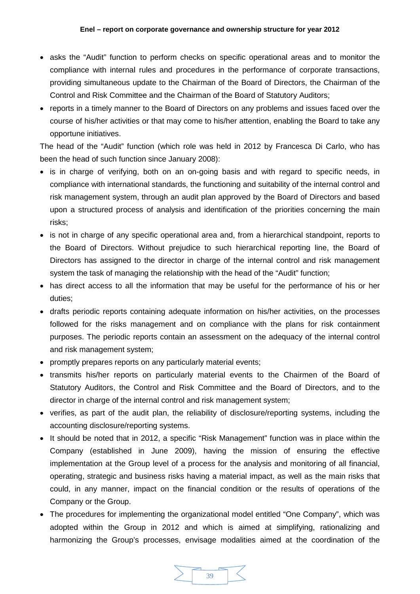- asks the "Audit" function to perform checks on specific operational areas and to monitor the compliance with internal rules and procedures in the performance of corporate transactions, providing simultaneous update to the Chairman of the Board of Directors, the Chairman of the Control and Risk Committee and the Chairman of the Board of Statutory Auditors;
- reports in a timely manner to the Board of Directors on any problems and issues faced over the course of his/her activities or that may come to his/her attention, enabling the Board to take any opportune initiatives.

The head of the "Audit" function (which role was held in 2012 by Francesca Di Carlo, who has been the head of such function since January 2008):

- is in charge of verifying, both on an on-going basis and with regard to specific needs, in compliance with international standards, the functioning and suitability of the internal control and risk management system, through an audit plan approved by the Board of Directors and based upon a structured process of analysis and identification of the priorities concerning the main risks;
- is not in charge of any specific operational area and, from a hierarchical standpoint, reports to the Board of Directors. Without prejudice to such hierarchical reporting line, the Board of Directors has assigned to the director in charge of the internal control and risk management system the task of managing the relationship with the head of the "Audit" function;
- has direct access to all the information that may be useful for the performance of his or her duties;
- drafts periodic reports containing adequate information on his/her activities, on the processes followed for the risks management and on compliance with the plans for risk containment purposes. The periodic reports contain an assessment on the adequacy of the internal control and risk management system;
- promptly prepares reports on any particularly material events;
- transmits his/her reports on particularly material events to the Chairmen of the Board of Statutory Auditors, the Control and Risk Committee and the Board of Directors, and to the director in charge of the internal control and risk management system;
- verifies, as part of the audit plan, the reliability of disclosure/reporting systems, including the accounting disclosure/reporting systems.
- It should be noted that in 2012, a specific "Risk Management" function was in place within the Company (established in June 2009), having the mission of ensuring the effective implementation at the Group level of a process for the analysis and monitoring of all financial, operating, strategic and business risks having a material impact, as well as the main risks that could, in any manner, impact on the financial condition or the results of operations of the Company or the Group.
- The procedures for implementing the organizational model entitled "One Company", which was adopted within the Group in 2012 and which is aimed at simplifying, rationalizing and harmonizing the Group's processes, envisage modalities aimed at the coordination of the

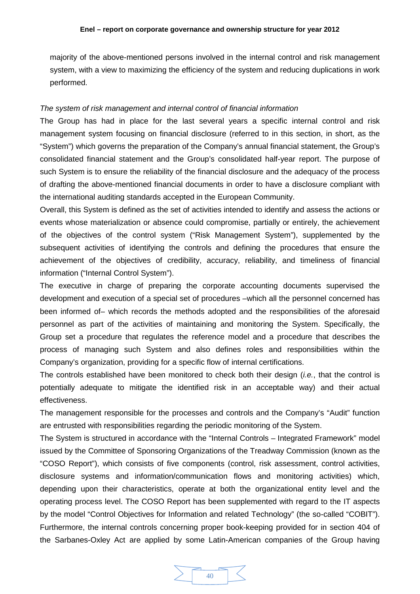majority of the above-mentioned persons involved in the internal control and risk management system, with a view to maximizing the efficiency of the system and reducing duplications in work performed.

# <span id="page-39-0"></span>*The system of risk management and internal control of financial information*

The Group has had in place for the last several years a specific internal control and risk management system focusing on financial disclosure (referred to in this section, in short, as the "System") which governs the preparation of the Company's annual financial statement, the Group's consolidated financial statement and the Group's consolidated half-year report. The purpose of such System is to ensure the reliability of the financial disclosure and the adequacy of the process of drafting the above-mentioned financial documents in order to have a disclosure compliant with the international auditing standards accepted in the European Community.

Overall, this System is defined as the set of activities intended to identify and assess the actions or events whose materialization or absence could compromise, partially or entirely, the achievement of the objectives of the control system ("Risk Management System"), supplemented by the subsequent activities of identifying the controls and defining the procedures that ensure the achievement of the objectives of credibility, accuracy, reliability, and timeliness of financial information ("Internal Control System").

The executive in charge of preparing the corporate accounting documents supervised the development and execution of a special set of procedures –which all the personnel concerned has been informed of– which records the methods adopted and the responsibilities of the aforesaid personnel as part of the activities of maintaining and monitoring the System. Specifically, the Group set a procedure that regulates the reference model and a procedure that describes the process of managing such System and also defines roles and responsibilities within the Company's organization, providing for a specific flow of internal certifications.

The controls established have been monitored to check both their design (*i.e.*, that the control is potentially adequate to mitigate the identified risk in an acceptable way) and their actual effectiveness.

The management responsible for the processes and controls and the Company's "Audit" function are entrusted with responsibilities regarding the periodic monitoring of the System.

The System is structured in accordance with the "Internal Controls – Integrated Framework" model issued by the Committee of Sponsoring Organizations of the Treadway Commission (known as the "COSO Report"), which consists of five components (control, risk assessment, control activities, disclosure systems and information/communication flows and monitoring activities) which, depending upon their characteristics, operate at both the organizational entity level and the operating process level. The COSO Report has been supplemented with regard to the IT aspects by the model "Control Objectives for Information and related Technology" (the so-called "COBIT"). Furthermore, the internal controls concerning proper book-keeping provided for in section 404 of the Sarbanes-Oxley Act are applied by some Latin-American companies of the Group having

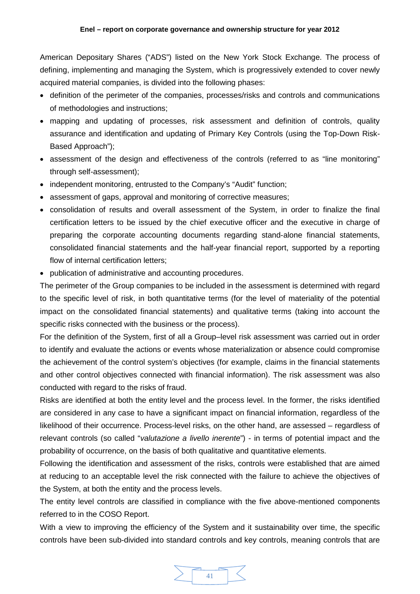American Depositary Shares ("ADS") listed on the New York Stock Exchange. The process of defining, implementing and managing the System, which is progressively extended to cover newly acquired material companies, is divided into the following phases:

- definition of the perimeter of the companies, processes/risks and controls and communications of methodologies and instructions;
- mapping and updating of processes, risk assessment and definition of controls, quality assurance and identification and updating of Primary Key Controls (using the Top-Down Risk-Based Approach");
- assessment of the design and effectiveness of the controls (referred to as "line monitoring" through self-assessment);
- independent monitoring, entrusted to the Company's "Audit" function;
- assessment of gaps, approval and monitoring of corrective measures;
- consolidation of results and overall assessment of the System, in order to finalize the final certification letters to be issued by the chief executive officer and the executive in charge of preparing the corporate accounting documents regarding stand-alone financial statements, consolidated financial statements and the half-year financial report, supported by a reporting flow of internal certification letters;
- publication of administrative and accounting procedures.

The perimeter of the Group companies to be included in the assessment is determined with regard to the specific level of risk, in both quantitative terms (for the level of materiality of the potential impact on the consolidated financial statements) and qualitative terms (taking into account the specific risks connected with the business or the process).

For the definition of the System, first of all a Group–level risk assessment was carried out in order to identify and evaluate the actions or events whose materialization or absence could compromise the achievement of the control system's objectives (for example, claims in the financial statements and other control objectives connected with financial information). The risk assessment was also conducted with regard to the risks of fraud.

Risks are identified at both the entity level and the process level. In the former, the risks identified are considered in any case to have a significant impact on financial information, regardless of the likelihood of their occurrence. Process-level risks, on the other hand, are assessed – regardless of relevant controls (so called "*valutazione a livello inerente*") - in terms of potential impact and the probability of occurrence, on the basis of both qualitative and quantitative elements.

Following the identification and assessment of the risks, controls were established that are aimed at reducing to an acceptable level the risk connected with the failure to achieve the objectives of the System, at both the entity and the process levels.

The entity level controls are classified in compliance with the five above-mentioned components referred to in the COSO Report.

With a view to improving the efficiency of the System and it sustainability over time, the specific controls have been sub-divided into standard controls and key controls, meaning controls that are

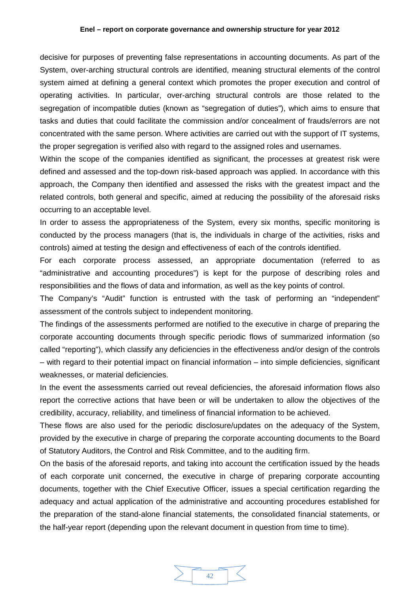#### **Enel – report on corporate governance and ownership structure for year 2012**

decisive for purposes of preventing false representations in accounting documents. As part of the System, over-arching structural controls are identified, meaning structural elements of the control system aimed at defining a general context which promotes the proper execution and control of operating activities. In particular, over-arching structural controls are those related to the segregation of incompatible duties (known as "segregation of duties"), which aims to ensure that tasks and duties that could facilitate the commission and/or concealment of frauds/errors are not concentrated with the same person. Where activities are carried out with the support of IT systems, the proper segregation is verified also with regard to the assigned roles and usernames.

Within the scope of the companies identified as significant, the processes at greatest risk were defined and assessed and the top-down risk-based approach was applied. In accordance with this approach, the Company then identified and assessed the risks with the greatest impact and the related controls, both general and specific, aimed at reducing the possibility of the aforesaid risks occurring to an acceptable level.

In order to assess the appropriateness of the System, every six months, specific monitoring is conducted by the process managers (that is, the individuals in charge of the activities, risks and controls) aimed at testing the design and effectiveness of each of the controls identified.

For each corporate process assessed, an appropriate documentation (referred to as "administrative and accounting procedures") is kept for the purpose of describing roles and responsibilities and the flows of data and information, as well as the key points of control.

The Company's "Audit" function is entrusted with the task of performing an "independent" assessment of the controls subject to independent monitoring.

The findings of the assessments performed are notified to the executive in charge of preparing the corporate accounting documents through specific periodic flows of summarized information (so called "reporting"), which classify any deficiencies in the effectiveness and/or design of the controls – with regard to their potential impact on financial information – into simple deficiencies, significant weaknesses, or material deficiencies.

In the event the assessments carried out reveal deficiencies, the aforesaid information flows also report the corrective actions that have been or will be undertaken to allow the objectives of the credibility, accuracy, reliability, and timeliness of financial information to be achieved.

These flows are also used for the periodic disclosure/updates on the adequacy of the System, provided by the executive in charge of preparing the corporate accounting documents to the Board of Statutory Auditors, the Control and Risk Committee, and to the auditing firm.

On the basis of the aforesaid reports, and taking into account the certification issued by the heads of each corporate unit concerned, the executive in charge of preparing corporate accounting documents, together with the Chief Executive Officer, issues a special certification regarding the adequacy and actual application of the administrative and accounting procedures established for the preparation of the stand-alone financial statements, the consolidated financial statements, or the half-year report (depending upon the relevant document in question from time to time).

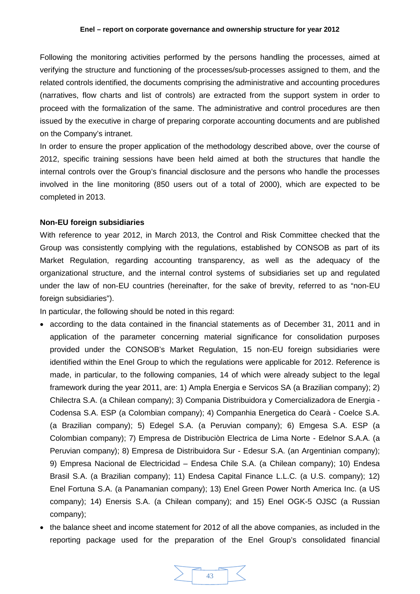#### **Enel – report on corporate governance and ownership structure for year 2012**

Following the monitoring activities performed by the persons handling the processes, aimed at verifying the structure and functioning of the processes/sub-processes assigned to them, and the related controls identified, the documents comprising the administrative and accounting procedures (narratives, flow charts and list of controls) are extracted from the support system in order to proceed with the formalization of the same. The administrative and control procedures are then issued by the executive in charge of preparing corporate accounting documents and are published on the Company's intranet.

In order to ensure the proper application of the methodology described above, over the course of 2012, specific training sessions have been held aimed at both the structures that handle the internal controls over the Group's financial disclosure and the persons who handle the processes involved in the line monitoring (850 users out of a total of 2000), which are expected to be completed in 2013.

# <span id="page-42-0"></span>**Non-EU foreign subsidiaries**

With reference to year 2012, in March 2013, the Control and Risk Committee checked that the Group was consistently complying with the regulations, established by CONSOB as part of its Market Regulation, regarding accounting transparency, as well as the adequacy of the organizational structure, and the internal control systems of subsidiaries set up and regulated under the law of non-EU countries (hereinafter, for the sake of brevity, referred to as "non-EU foreign subsidiaries").

In particular, the following should be noted in this regard:

- according to the data contained in the financial statements as of December 31, 2011 and in application of the parameter concerning material significance for consolidation purposes provided under the CONSOB's Market Regulation, 15 non-EU foreign subsidiaries were identified within the Enel Group to which the regulations were applicable for 2012. Reference is made, in particular, to the following companies, 14 of which were already subject to the legal framework during the year 2011, are: 1) Ampla Energia e Servicos SA (a Brazilian company); 2) Chilectra S.A. (a Chilean company); 3) Compania Distribuidora y Comercializadora de Energia - Codensa S.A. ESP (a Colombian company); 4) Companhia Energetica do Cearà - Coelce S.A. (a Brazilian company); 5) Edegel S.A. (a Peruvian company); 6) Emgesa S.A. ESP (a Colombian company); 7) Empresa de Distribuciòn Electrica de Lima Norte - Edelnor S.A.A. (a Peruvian company); 8) Empresa de Distribuidora Sur - Edesur S.A. (an Argentinian company); 9) Empresa Nacional de Electricidad – Endesa Chile S.A. (a Chilean company); 10) Endesa Brasil S.A. (a Brazilian company); 11) Endesa Capital Finance L.L.C. (a U.S. company); 12) Enel Fortuna S.A. (a Panamanian company); 13) Enel Green Power North America Inc. (a US company); 14) Enersis S.A. (a Chilean company); and 15) Enel OGK-5 OJSC (a Russian company);
- the balance sheet and income statement for 2012 of all the above companies, as included in the reporting package used for the preparation of the Enel Group's consolidated financial

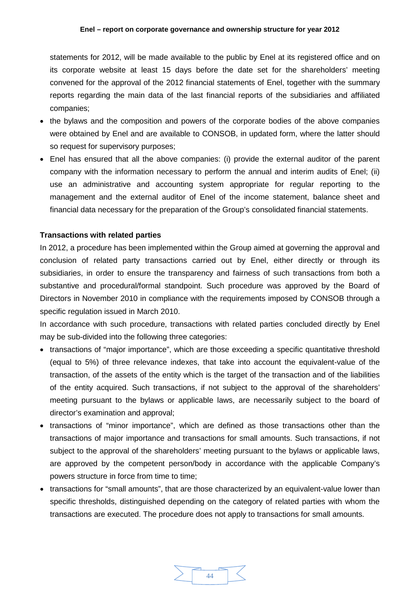statements for 2012, will be made available to the public by Enel at its registered office and on its corporate website at least 15 days before the date set for the shareholders' meeting convened for the approval of the 2012 financial statements of Enel, together with the summary reports regarding the main data of the last financial reports of the subsidiaries and affiliated companies;

- the bylaws and the composition and powers of the corporate bodies of the above companies were obtained by Enel and are available to CONSOB, in updated form, where the latter should so request for supervisory purposes;
- Enel has ensured that all the above companies: (i) provide the external auditor of the parent company with the information necessary to perform the annual and interim audits of Enel; (ii) use an administrative and accounting system appropriate for regular reporting to the management and the external auditor of Enel of the income statement, balance sheet and financial data necessary for the preparation of the Group's consolidated financial statements.

# <span id="page-43-0"></span>**Transactions with related parties**

In 2012, a procedure has been implemented within the Group aimed at governing the approval and conclusion of related party transactions carried out by Enel, either directly or through its subsidiaries, in order to ensure the transparency and fairness of such transactions from both a substantive and procedural/formal standpoint. Such procedure was approved by the Board of Directors in November 2010 in compliance with the requirements imposed by CONSOB through a specific regulation issued in March 2010.

In accordance with such procedure, transactions with related parties concluded directly by Enel may be sub-divided into the following three categories:

- transactions of "major importance", which are those exceeding a specific quantitative threshold (equal to 5%) of three relevance indexes, that take into account the equivalent-value of the transaction, of the assets of the entity which is the target of the transaction and of the liabilities of the entity acquired. Such transactions, if not subject to the approval of the shareholders' meeting pursuant to the bylaws or applicable laws, are necessarily subject to the board of director's examination and approval;
- transactions of "minor importance", which are defined as those transactions other than the transactions of major importance and transactions for small amounts. Such transactions, if not subject to the approval of the shareholders' meeting pursuant to the bylaws or applicable laws, are approved by the competent person/body in accordance with the applicable Company's powers structure in force from time to time;
- transactions for "small amounts", that are those characterized by an equivalent-value lower than specific thresholds, distinguished depending on the category of related parties with whom the transactions are executed. The procedure does not apply to transactions for small amounts.

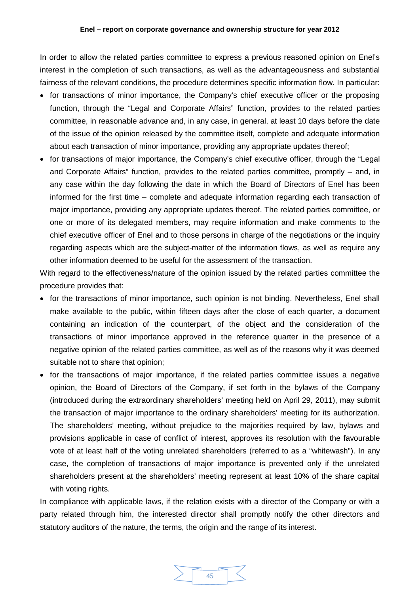In order to allow the related parties committee to express a previous reasoned opinion on Enel's interest in the completion of such transactions, as well as the advantageousness and substantial fairness of the relevant conditions, the procedure determines specific information flow. In particular:

- for transactions of minor importance, the Company's chief executive officer or the proposing function, through the "Legal and Corporate Affairs" function, provides to the related parties committee, in reasonable advance and, in any case, in general, at least 10 days before the date of the issue of the opinion released by the committee itself, complete and adequate information about each transaction of minor importance, providing any appropriate updates thereof;
- for transactions of major importance, the Company's chief executive officer, through the "Legal and Corporate Affairs" function, provides to the related parties committee, promptly – and, in any case within the day following the date in which the Board of Directors of Enel has been informed for the first time – complete and adequate information regarding each transaction of major importance, providing any appropriate updates thereof. The related parties committee, or one or more of its delegated members, may require information and make comments to the chief executive officer of Enel and to those persons in charge of the negotiations or the inquiry regarding aspects which are the subject-matter of the information flows, as well as require any other information deemed to be useful for the assessment of the transaction.

With regard to the effectiveness/nature of the opinion issued by the related parties committee the procedure provides that:

- for the transactions of minor importance, such opinion is not binding. Nevertheless, Enel shall make available to the public, within fifteen days after the close of each quarter, a document containing an indication of the counterpart, of the object and the consideration of the transactions of minor importance approved in the reference quarter in the presence of a negative opinion of the related parties committee, as well as of the reasons why it was deemed suitable not to share that opinion;
- for the transactions of major importance, if the related parties committee issues a negative opinion, the Board of Directors of the Company, if set forth in the bylaws of the Company (introduced during the extraordinary shareholders' meeting held on April 29, 2011), may submit the transaction of major importance to the ordinary shareholders' meeting for its authorization. The shareholders' meeting, without prejudice to the majorities required by law, bylaws and provisions applicable in case of conflict of interest, approves its resolution with the favourable vote of at least half of the voting unrelated shareholders (referred to as a "whitewash"). In any case, the completion of transactions of major importance is prevented only if the unrelated shareholders present at the shareholders' meeting represent at least 10% of the share capital with voting rights.

In compliance with applicable laws, if the relation exists with a director of the Company or with a party related through him, the interested director shall promptly notify the other directors and statutory auditors of the nature, the terms, the origin and the range of its interest.

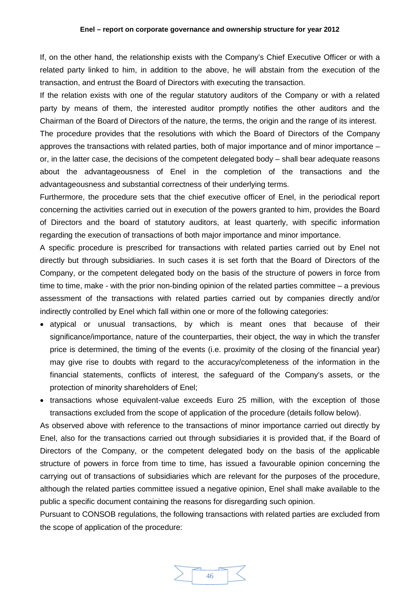#### **Enel – report on corporate governance and ownership structure for year 2012**

If, on the other hand, the relationship exists with the Company's Chief Executive Officer or with a related party linked to him, in addition to the above, he will abstain from the execution of the transaction, and entrust the Board of Directors with executing the transaction.

If the relation exists with one of the regular statutory auditors of the Company or with a related party by means of them, the interested auditor promptly notifies the other auditors and the Chairman of the Board of Directors of the nature, the terms, the origin and the range of its interest.

The procedure provides that the resolutions with which the Board of Directors of the Company approves the transactions with related parties, both of major importance and of minor importance – or, in the latter case, the decisions of the competent delegated body – shall bear adequate reasons about the advantageousness of Enel in the completion of the transactions and the advantageousness and substantial correctness of their underlying terms.

Furthermore, the procedure sets that the chief executive officer of Enel, in the periodical report concerning the activities carried out in execution of the powers granted to him, provides the Board of Directors and the board of statutory auditors, at least quarterly, with specific information regarding the execution of transactions of both major importance and minor importance.

A specific procedure is prescribed for transactions with related parties carried out by Enel not directly but through subsidiaries. In such cases it is set forth that the Board of Directors of the Company, or the competent delegated body on the basis of the structure of powers in force from time to time, make - with the prior non-binding opinion of the related parties committee – a previous assessment of the transactions with related parties carried out by companies directly and/or indirectly controlled by Enel which fall within one or more of the following categories:

- atypical or unusual transactions, by which is meant ones that because of their significance/importance, nature of the counterparties, their object, the way in which the transfer price is determined, the timing of the events (i.e. proximity of the closing of the financial year) may give rise to doubts with regard to the accuracy/completeness of the information in the financial statements, conflicts of interest, the safeguard of the Company's assets, or the protection of minority shareholders of Enel;
- transactions whose equivalent-value exceeds Euro 25 million, with the exception of those transactions excluded from the scope of application of the procedure (details follow below).

As observed above with reference to the transactions of minor importance carried out directly by Enel, also for the transactions carried out through subsidiaries it is provided that, if the Board of Directors of the Company, or the competent delegated body on the basis of the applicable structure of powers in force from time to time, has issued a favourable opinion concerning the carrying out of transactions of subsidiaries which are relevant for the purposes of the procedure, although the related parties committee issued a negative opinion, Enel shall make available to the public a specific document containing the reasons for disregarding such opinion.

Pursuant to CONSOB regulations, the following transactions with related parties are excluded from the scope of application of the procedure:

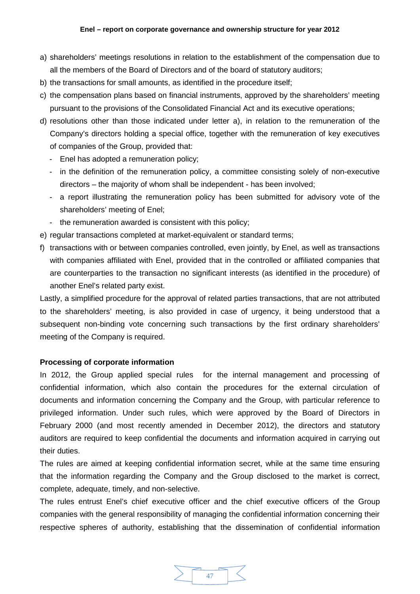- a) shareholders' meetings resolutions in relation to the establishment of the compensation due to all the members of the Board of Directors and of the board of statutory auditors;
- b) the transactions for small amounts, as identified in the procedure itself;
- c) the compensation plans based on financial instruments, approved by the shareholders' meeting pursuant to the provisions of the Consolidated Financial Act and its executive operations;
- d) resolutions other than those indicated under letter a), in relation to the remuneration of the Company's directors holding a special office, together with the remuneration of key executives of companies of the Group, provided that:
	- Enel has adopted a remuneration policy;
	- in the definition of the remuneration policy, a committee consisting solely of non-executive directors – the majority of whom shall be independent - has been involved;
	- a report illustrating the remuneration policy has been submitted for advisory vote of the shareholders' meeting of Enel;
	- the remuneration awarded is consistent with this policy;
- e) regular transactions completed at market-equivalent or standard terms;
- f) transactions with or between companies controlled, even jointly, by Enel, as well as transactions with companies affiliated with Enel, provided that in the controlled or affiliated companies that are counterparties to the transaction no significant interests (as identified in the procedure) of another Enel's related party exist.

Lastly, a simplified procedure for the approval of related parties transactions, that are not attributed to the shareholders' meeting, is also provided in case of urgency, it being understood that a subsequent non-binding vote concerning such transactions by the first ordinary shareholders' meeting of the Company is required.

# <span id="page-46-0"></span>**Processing of corporate information**

In 2012, the Group applied special rules for the internal management and processing of confidential information, which also contain the procedures for the external circulation of documents and information concerning the Company and the Group, with particular reference to privileged information. Under such rules, which were approved by the Board of Directors in February 2000 (and most recently amended in December 2012), the directors and statutory auditors are required to keep confidential the documents and information acquired in carrying out their duties.

The rules are aimed at keeping confidential information secret, while at the same time ensuring that the information regarding the Company and the Group disclosed to the market is correct, complete, adequate, timely, and non-selective.

The rules entrust Enel's chief executive officer and the chief executive officers of the Group companies with the general responsibility of managing the confidential information concerning their respective spheres of authority, establishing that the dissemination of confidential information

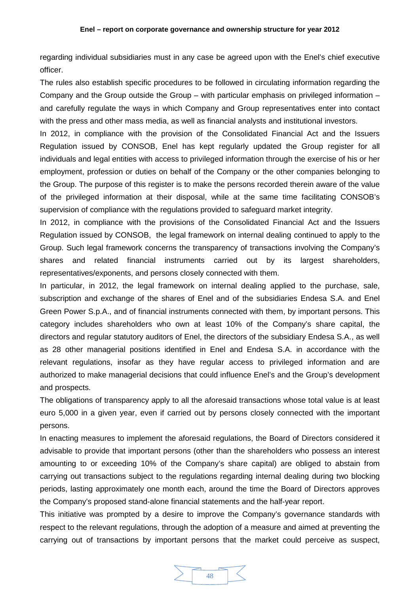regarding individual subsidiaries must in any case be agreed upon with the Enel's chief executive officer.

The rules also establish specific procedures to be followed in circulating information regarding the Company and the Group outside the Group – with particular emphasis on privileged information – and carefully regulate the ways in which Company and Group representatives enter into contact with the press and other mass media, as well as financial analysts and institutional investors.

In 2012, in compliance with the provision of the Consolidated Financial Act and the Issuers Regulation issued by CONSOB, Enel has kept regularly updated the Group register for all individuals and legal entities with access to privileged information through the exercise of his or her employment, profession or duties on behalf of the Company or the other companies belonging to the Group. The purpose of this register is to make the persons recorded therein aware of the value of the privileged information at their disposal, while at the same time facilitating CONSOB's supervision of compliance with the regulations provided to safeguard market integrity.

In 2012, in compliance with the provisions of the Consolidated Financial Act and the Issuers Regulation issued by CONSOB, the legal framework on internal dealing continued to apply to the Group. Such legal framework concerns the transparency of transactions involving the Company's shares and related financial instruments carried out by its largest shareholders, representatives/exponents, and persons closely connected with them.

In particular, in 2012, the legal framework on internal dealing applied to the purchase, sale, subscription and exchange of the shares of Enel and of the subsidiaries Endesa S.A. and Enel Green Power S.p.A., and of financial instruments connected with them, by important persons. This category includes shareholders who own at least 10% of the Company's share capital, the directors and regular statutory auditors of Enel, the directors of the subsidiary Endesa S.A., as well as 28 other managerial positions identified in Enel and Endesa S.A. in accordance with the relevant regulations, insofar as they have regular access to privileged information and are authorized to make managerial decisions that could influence Enel's and the Group's development and prospects.

The obligations of transparency apply to all the aforesaid transactions whose total value is at least euro 5,000 in a given year, even if carried out by persons closely connected with the important persons.

In enacting measures to implement the aforesaid regulations, the Board of Directors considered it advisable to provide that important persons (other than the shareholders who possess an interest amounting to or exceeding 10% of the Company's share capital) are obliged to abstain from carrying out transactions subject to the regulations regarding internal dealing during two blocking periods, lasting approximately one month each, around the time the Board of Directors approves the Company's proposed stand-alone financial statements and the half-year report.

This initiative was prompted by a desire to improve the Company's governance standards with respect to the relevant regulations, through the adoption of a measure and aimed at preventing the carrying out of transactions by important persons that the market could perceive as suspect,

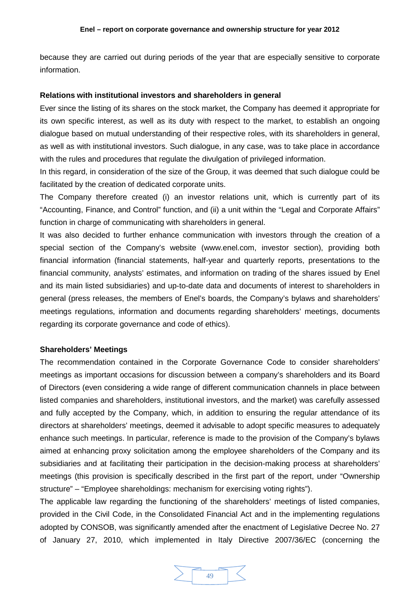because they are carried out during periods of the year that are especially sensitive to corporate information.

# <span id="page-48-0"></span>**Relations with institutional investors and shareholders in general**

Ever since the listing of its shares on the stock market, the Company has deemed it appropriate for its own specific interest, as well as its duty with respect to the market, to establish an ongoing dialogue based on mutual understanding of their respective roles, with its shareholders in general, as well as with institutional investors. Such dialogue, in any case, was to take place in accordance with the rules and procedures that regulate the divulgation of privileged information.

In this regard, in consideration of the size of the Group, it was deemed that such dialogue could be facilitated by the creation of dedicated corporate units.

The Company therefore created (i) an investor relations unit, which is currently part of its "Accounting, Finance, and Control" function, and (ii) a unit within the "Legal and Corporate Affairs" function in charge of communicating with shareholders in general.

It was also decided to further enhance communication with investors through the creation of a special section of the Company's website (www.enel.com, investor section), providing both financial information (financial statements, half-year and quarterly reports, presentations to the financial community, analysts' estimates, and information on trading of the shares issued by Enel and its main listed subsidiaries) and up-to-date data and documents of interest to shareholders in general (press releases, the members of Enel's boards, the Company's bylaws and shareholders' meetings regulations, information and documents regarding shareholders' meetings, documents regarding its corporate governance and code of ethics).

### <span id="page-48-1"></span>**Shareholders' Meetings**

The recommendation contained in the Corporate Governance Code to consider shareholders' meetings as important occasions for discussion between a company's shareholders and its Board of Directors (even considering a wide range of different communication channels in place between listed companies and shareholders, institutional investors, and the market) was carefully assessed and fully accepted by the Company, which, in addition to ensuring the regular attendance of its directors at shareholders' meetings, deemed it advisable to adopt specific measures to adequately enhance such meetings. In particular, reference is made to the provision of the Company's bylaws aimed at enhancing proxy solicitation among the employee shareholders of the Company and its subsidiaries and at facilitating their participation in the decision-making process at shareholders' meetings (this provision is specifically described in the first part of the report, under "Ownership structure" – "Employee shareholdings: mechanism for exercising voting rights").

The applicable law regarding the functioning of the shareholders' meetings of listed companies, provided in the Civil Code, in the Consolidated Financial Act and in the implementing regulations adopted by CONSOB, was significantly amended after the enactment of Legislative Decree No. 27 of January 27, 2010, which implemented in Italy Directive 2007/36/EC (concerning the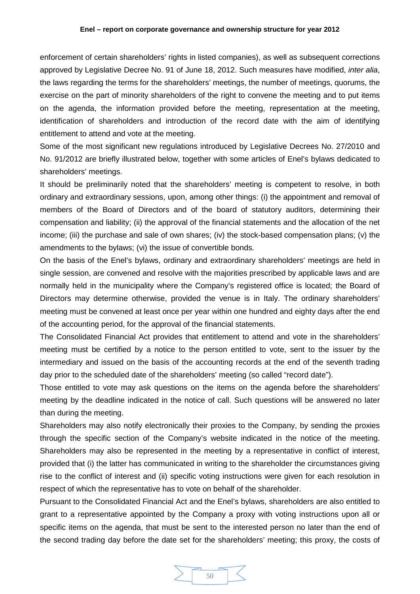enforcement of certain shareholders' rights in listed companies), as well as subsequent corrections approved by Legislative Decree No. 91 of June 18, 2012. Such measures have modified, *inter alia*, the laws regarding the terms for the shareholders' meetings, the number of meetings, quorums, the exercise on the part of minority shareholders of the right to convene the meeting and to put items on the agenda, the information provided before the meeting, representation at the meeting, identification of shareholders and introduction of the record date with the aim of identifying entitlement to attend and vote at the meeting.

Some of the most significant new regulations introduced by Legislative Decrees No. 27/2010 and No. 91/2012 are briefly illustrated below, together with some articles of Enel's bylaws dedicated to shareholders' meetings.

It should be preliminarily noted that the shareholders' meeting is competent to resolve, in both ordinary and extraordinary sessions, upon, among other things: (i) the appointment and removal of members of the Board of Directors and of the board of statutory auditors, determining their compensation and liability; (ii) the approval of the financial statements and the allocation of the net income; (iii) the purchase and sale of own shares; (iv) the stock-based compensation plans; (v) the amendments to the bylaws; (vi) the issue of convertible bonds.

On the basis of the Enel's bylaws, ordinary and extraordinary shareholders' meetings are held in single session, are convened and resolve with the majorities prescribed by applicable laws and are normally held in the municipality where the Company's registered office is located; the Board of Directors may determine otherwise, provided the venue is in Italy. The ordinary shareholders' meeting must be convened at least once per year within one hundred and eighty days after the end of the accounting period, for the approval of the financial statements.

The Consolidated Financial Act provides that entitlement to attend and vote in the shareholders' meeting must be certified by a notice to the person entitled to vote, sent to the issuer by the intermediary and issued on the basis of the accounting records at the end of the seventh trading day prior to the scheduled date of the shareholders' meeting (so called "record date").

Those entitled to vote may ask questions on the items on the agenda before the shareholders' meeting by the deadline indicated in the notice of call. Such questions will be answered no later than during the meeting.

Shareholders may also notify electronically their proxies to the Company, by sending the proxies through the specific section of the Company's website indicated in the notice of the meeting. Shareholders may also be represented in the meeting by a representative in conflict of interest, provided that (i) the latter has communicated in writing to the shareholder the circumstances giving rise to the conflict of interest and (ii) specific voting instructions were given for each resolution in respect of which the representative has to vote on behalf of the shareholder.

Pursuant to the Consolidated Financial Act and the Enel's bylaws, shareholders are also entitled to grant to a representative appointed by the Company a proxy with voting instructions upon all or specific items on the agenda, that must be sent to the interested person no later than the end of the second trading day before the date set for the shareholders' meeting; this proxy, the costs of

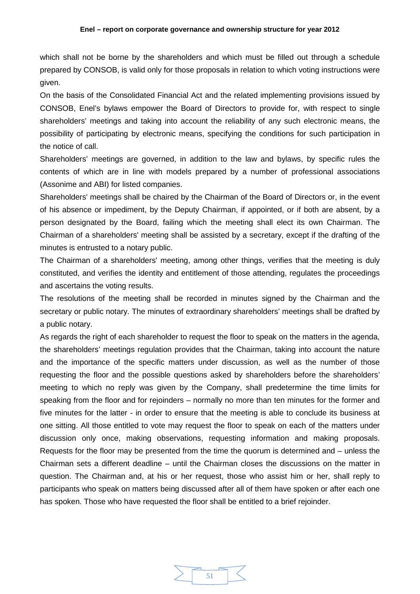which shall not be borne by the shareholders and which must be filled out through a schedule prepared by CONSOB, is valid only for those proposals in relation to which voting instructions were given.

On the basis of the Consolidated Financial Act and the related implementing provisions issued by CONSOB, Enel's bylaws empower the Board of Directors to provide for, with respect to single shareholders' meetings and taking into account the reliability of any such electronic means, the possibility of participating by electronic means, specifying the conditions for such participation in the notice of call.

Shareholders' meetings are governed, in addition to the law and bylaws, by specific rules the contents of which are in line with models prepared by a number of professional associations (Assonime and ABI) for listed companies.

Shareholders' meetings shall be chaired by the Chairman of the Board of Directors or, in the event of his absence or impediment, by the Deputy Chairman, if appointed, or if both are absent, by a person designated by the Board, failing which the meeting shall elect its own Chairman. The Chairman of a shareholders' meeting shall be assisted by a secretary, except if the drafting of the minutes is entrusted to a notary public.

The Chairman of a shareholders' meeting, among other things, verifies that the meeting is duly constituted, and verifies the identity and entitlement of those attending, regulates the proceedings and ascertains the voting results.

The resolutions of the meeting shall be recorded in minutes signed by the Chairman and the secretary or public notary. The minutes of extraordinary shareholders' meetings shall be drafted by a public notary.

As regards the right of each shareholder to request the floor to speak on the matters in the agenda, the shareholders' meetings regulation provides that the Chairman, taking into account the nature and the importance of the specific matters under discussion, as well as the number of those requesting the floor and the possible questions asked by shareholders before the shareholders' meeting to which no reply was given by the Company, shall predetermine the time limits for speaking from the floor and for rejoinders – normally no more than ten minutes for the former and five minutes for the latter - in order to ensure that the meeting is able to conclude its business at one sitting. All those entitled to vote may request the floor to speak on each of the matters under discussion only once, making observations, requesting information and making proposals. Requests for the floor may be presented from the time the quorum is determined and – unless the Chairman sets a different deadline – until the Chairman closes the discussions on the matter in question. The Chairman and, at his or her request, those who assist him or her, shall reply to participants who speak on matters being discussed after all of them have spoken or after each one has spoken. Those who have requested the floor shall be entitled to a brief rejoinder.

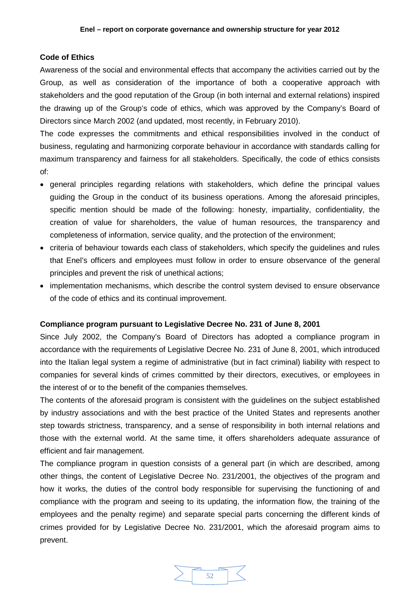# <span id="page-51-0"></span>**Code of Ethics**

Awareness of the social and environmental effects that accompany the activities carried out by the Group, as well as consideration of the importance of both a cooperative approach with stakeholders and the good reputation of the Group (in both internal and external relations) inspired the drawing up of the Group's code of ethics, which was approved by the Company's Board of Directors since March 2002 (and updated, most recently, in February 2010).

The code expresses the commitments and ethical responsibilities involved in the conduct of business, regulating and harmonizing corporate behaviour in accordance with standards calling for maximum transparency and fairness for all stakeholders. Specifically, the code of ethics consists of:

- general principles regarding relations with stakeholders, which define the principal values guiding the Group in the conduct of its business operations. Among the aforesaid principles, specific mention should be made of the following: honesty, impartiality, confidentiality, the creation of value for shareholders, the value of human resources, the transparency and completeness of information, service quality, and the protection of the environment;
- criteria of behaviour towards each class of stakeholders, which specify the guidelines and rules that Enel's officers and employees must follow in order to ensure observance of the general principles and prevent the risk of unethical actions;
- implementation mechanisms, which describe the control system devised to ensure observance of the code of ethics and its continual improvement.

### <span id="page-51-1"></span>**Compliance program pursuant to Legislative Decree No. 231 of June 8, 2001**

Since July 2002, the Company's Board of Directors has adopted a compliance program in accordance with the requirements of Legislative Decree No. 231 of June 8, 2001, which introduced into the Italian legal system a regime of administrative (but in fact criminal) liability with respect to companies for several kinds of crimes committed by their directors, executives, or employees in the interest of or to the benefit of the companies themselves.

The contents of the aforesaid program is consistent with the guidelines on the subject established by industry associations and with the best practice of the United States and represents another step towards strictness, transparency, and a sense of responsibility in both internal relations and those with the external world. At the same time, it offers shareholders adequate assurance of efficient and fair management.

The compliance program in question consists of a general part (in which are described, among other things, the content of Legislative Decree No. 231/2001, the objectives of the program and how it works, the duties of the control body responsible for supervising the functioning of and compliance with the program and seeing to its updating, the information flow, the training of the employees and the penalty regime) and separate special parts concerning the different kinds of crimes provided for by Legislative Decree No. 231/2001, which the aforesaid program aims to prevent.

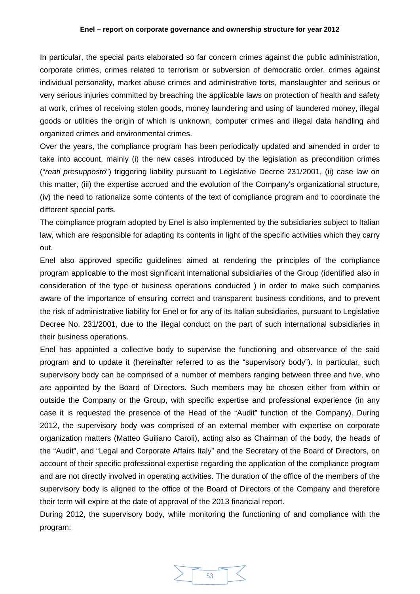In particular, the special parts elaborated so far concern crimes against the public administration, corporate crimes, crimes related to terrorism or subversion of democratic order, crimes against individual personality, market abuse crimes and administrative torts, manslaughter and serious or very serious injuries committed by breaching the applicable laws on protection of health and safety at work, crimes of receiving stolen goods, money laundering and using of laundered money, illegal goods or utilities the origin of which is unknown, computer crimes and illegal data handling and organized crimes and environmental crimes.

Over the years, the compliance program has been periodically updated and amended in order to take into account, mainly (i) the new cases introduced by the legislation as precondition crimes ("*reati presupposto*") triggering liability pursuant to Legislative Decree 231/2001, (ii) case law on this matter, (iii) the expertise accrued and the evolution of the Company's organizational structure, (iv) the need to rationalize some contents of the text of compliance program and to coordinate the different special parts.

The compliance program adopted by Enel is also implemented by the subsidiaries subject to Italian law, which are responsible for adapting its contents in light of the specific activities which they carry out.

Enel also approved specific guidelines aimed at rendering the principles of the compliance program applicable to the most significant international subsidiaries of the Group (identified also in consideration of the type of business operations conducted ) in order to make such companies aware of the importance of ensuring correct and transparent business conditions, and to prevent the risk of administrative liability for Enel or for any of its Italian subsidiaries, pursuant to Legislative Decree No. 231/2001, due to the illegal conduct on the part of such international subsidiaries in their business operations.

Enel has appointed a collective body to supervise the functioning and observance of the said program and to update it (hereinafter referred to as the "supervisory body"). In particular, such supervisory body can be comprised of a number of members ranging between three and five, who are appointed by the Board of Directors. Such members may be chosen either from within or outside the Company or the Group, with specific expertise and professional experience (in any case it is requested the presence of the Head of the "Audit" function of the Company). During 2012, the supervisory body was comprised of an external member with expertise on corporate organization matters (Matteo Guiliano Caroli), acting also as Chairman of the body, the heads of the "Audit", and "Legal and Corporate Affairs Italy" and the Secretary of the Board of Directors, on account of their specific professional expertise regarding the application of the compliance program and are not directly involved in operating activities. The duration of the office of the members of the supervisory body is aligned to the office of the Board of Directors of the Company and therefore their term will expire at the date of approval of the 2013 financial report.

During 2012, the supervisory body, while monitoring the functioning of and compliance with the program:

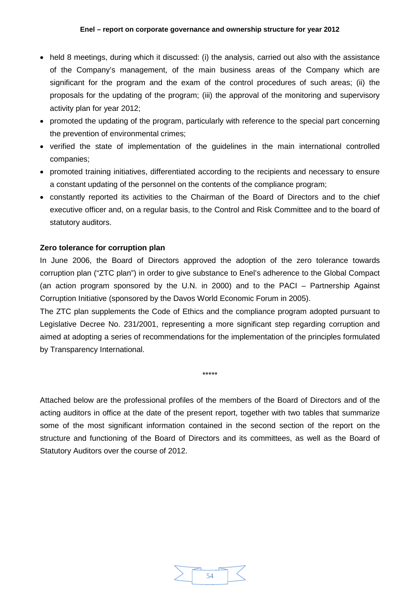- held 8 meetings, during which it discussed: (i) the analysis, carried out also with the assistance of the Company's management, of the main business areas of the Company which are significant for the program and the exam of the control procedures of such areas; (ii) the proposals for the updating of the program; (iii) the approval of the monitoring and supervisory activity plan for year 2012;
- promoted the updating of the program, particularly with reference to the special part concerning the prevention of environmental crimes;
- verified the state of implementation of the guidelines in the main international controlled companies;
- promoted training initiatives, differentiated according to the recipients and necessary to ensure a constant updating of the personnel on the contents of the compliance program;
- constantly reported its activities to the Chairman of the Board of Directors and to the chief executive officer and, on a regular basis, to the Control and Risk Committee and to the board of statutory auditors.

# <span id="page-53-0"></span>**Zero tolerance for corruption plan**

In June 2006, the Board of Directors approved the adoption of the zero tolerance towards corruption plan ("ZTC plan") in order to give substance to Enel's adherence to the Global Compact (an action program sponsored by the U.N. in 2000) and to the PACI – Partnership Against Corruption Initiative (sponsored by the Davos World Economic Forum in 2005).

The ZTC plan supplements the Code of Ethics and the compliance program adopted pursuant to Legislative Decree No. 231/2001, representing a more significant step regarding corruption and aimed at adopting a series of recommendations for the implementation of the principles formulated by Transparency International.

\*\*\*\*\*

Attached below are the professional profiles of the members of the Board of Directors and of the acting auditors in office at the date of the present report, together with two tables that summarize some of the most significant information contained in the second section of the report on the structure and functioning of the Board of Directors and its committees, as well as the Board of Statutory Auditors over the course of 2012.

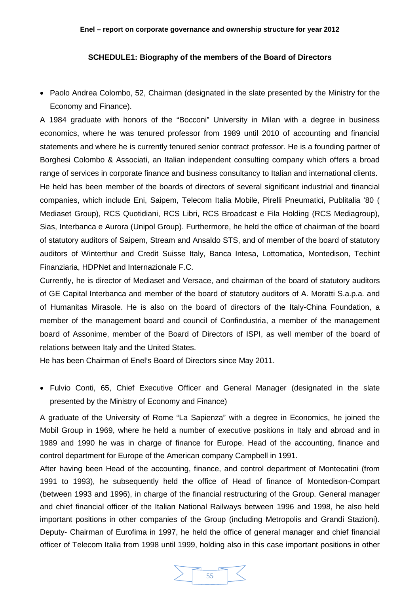# **SCHEDULE1: Biography of the members of the Board of Directors**

<span id="page-54-0"></span>• Paolo Andrea Colombo, 52, Chairman (designated in the slate presented by the Ministry for the Economy and Finance).

A 1984 graduate with honors of the "Bocconi" University in Milan with a degree in business economics, where he was tenured professor from 1989 until 2010 of accounting and financial statements and where he is currently tenured senior contract professor. He is a founding partner of Borghesi Colombo & Associati, an Italian independent consulting company which offers a broad range of services in corporate finance and business consultancy to Italian and international clients. He held has been member of the boards of directors of several significant industrial and financial companies, which include Eni, Saipem, Telecom Italia Mobile, Pirelli Pneumatici, Publitalia '80 ( Mediaset Group), RCS Quotidiani, RCS Libri, RCS Broadcast e Fila Holding (RCS Mediagroup), Sias, Interbanca e Aurora (Unipol Group). Furthermore, he held the office of chairman of the board of statutory auditors of Saipem, Stream and Ansaldo STS, and of member of the board of statutory auditors of Winterthur and Credit Suisse Italy, Banca Intesa, Lottomatica, Montedison, Techint Finanziaria, HDPNet and Internazionale F.C.

Currently, he is director of Mediaset and Versace, and chairman of the board of statutory auditors of GE Capital Interbanca and member of the board of statutory auditors of A. Moratti S.a.p.a. and of Humanitas Mirasole. He is also on the board of directors of the Italy-China Foundation, a member of the management board and council of Confindustria, a member of the management board of Assonime, member of the Board of Directors of ISPI, as well member of the board of relations between Italy and the United States.

He has been Chairman of Enel's Board of Directors since May 2011.

• Fulvio Conti, 65, Chief Executive Officer and General Manager (designated in the slate presented by the Ministry of Economy and Finance)

A graduate of the University of Rome "La Sapienza" with a degree in Economics, he joined the Mobil Group in 1969, where he held a number of executive positions in Italy and abroad and in 1989 and 1990 he was in charge of finance for Europe. Head of the accounting, finance and control department for Europe of the American company Campbell in 1991.

After having been Head of the accounting, finance, and control department of Montecatini (from 1991 to 1993), he subsequently held the office of Head of finance of Montedison-Compart (between 1993 and 1996), in charge of the financial restructuring of the Group. General manager and chief financial officer of the Italian National Railways between 1996 and 1998, he also held important positions in other companies of the Group (including Metropolis and Grandi Stazioni). Deputy- Chairman of Eurofima in 1997, he held the office of general manager and chief financial officer of Telecom Italia from 1998 until 1999, holding also in this case important positions in other

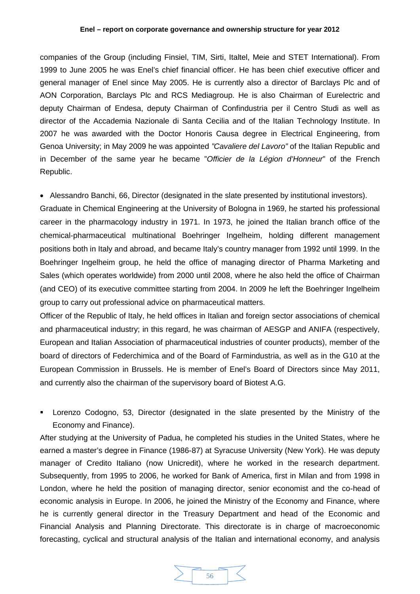#### **Enel – report on corporate governance and ownership structure for year 2012**

companies of the Group (including Finsiel, TIM, Sirti, Italtel, Meie and STET International). From 1999 to June 2005 he was Enel's chief financial officer. He has been chief executive officer and general manager of Enel since May 2005. He is currently also a director of Barclays Plc and of AON Corporation, Barclays Plc and RCS Mediagroup. He is also Chairman of Eurelectric and deputy Chairman of Endesa, deputy Chairman of Confindustria per il Centro Studi as well as director of the Accademia Nazionale di Santa Cecilia and of the Italian Technology Institute. In 2007 he was awarded with the Doctor Honoris Causa degree in Electrical Engineering, from Genoa University; in May 2009 he was appointed *"Cavaliere del Lavoro"* of the Italian Republic and in December of the same year he became "*Officier de la Légion d'Honneur*" of the French Republic.

• Alessandro Banchi, 66, Director (designated in the slate presented by institutional investors).

Graduate in Chemical Engineering at the University of Bologna in 1969, he started his professional career in the pharmacology industry in 1971. In 1973, he joined the Italian branch office of the chemical-pharmaceutical multinational Boehringer Ingelheim, holding different management positions both in Italy and abroad, and became Italy's country manager from 1992 until 1999. In the Boehringer Ingelheim group, he held the office of managing director of Pharma Marketing and Sales (which operates worldwide) from 2000 until 2008, where he also held the office of Chairman (and CEO) of its executive committee starting from 2004. In 2009 he left the Boehringer Ingelheim group to carry out professional advice on pharmaceutical matters.

Officer of the Republic of Italy, he held offices in Italian and foreign sector associations of chemical and pharmaceutical industry; in this regard, he was chairman of AESGP and ANIFA (respectively, European and Italian Association of pharmaceutical industries of counter products), member of the board of directors of Federchimica and of the Board of Farmindustria, as well as in the G10 at the European Commission in Brussels. He is member of Enel's Board of Directors since May 2011, and currently also the chairman of the supervisory board of Biotest A.G.

 Lorenzo Codogno, 53, Director (designated in the slate presented by the Ministry of the Economy and Finance).

After studying at the University of Padua, he completed his studies in the United States, where he earned a master's degree in Finance (1986-87) at Syracuse University (New York). He was deputy manager of Credito Italiano (now Unicredit), where he worked in the research department. Subsequently, from 1995 to 2006, he worked for Bank of America, first in Milan and from 1998 in London, where he held the position of managing director, senior economist and the co-head of economic analysis in Europe. In 2006, he joined the Ministry of the Economy and Finance, where he is currently general director in the Treasury Department and head of the Economic and Financial Analysis and Planning Directorate. This directorate is in charge of macroeconomic forecasting, cyclical and structural analysis of the Italian and international economy, and analysis

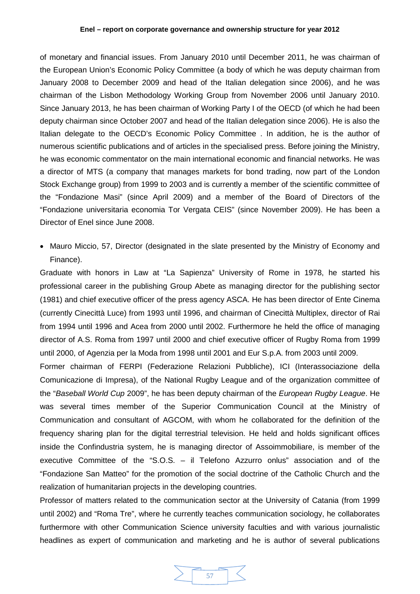of monetary and financial issues. From January 2010 until December 2011, he was chairman of the European Union's Economic Policy Committee (a body of which he was deputy chairman from January 2008 to December 2009 and head of the Italian delegation since 2006), and he was chairman of the Lisbon Methodology Working Group from November 2006 until January 2010. Since January 2013, he has been chairman of Working Party I of the OECD (of which he had been deputy chairman since October 2007 and head of the Italian delegation since 2006). He is also the Italian delegate to the OECD's Economic Policy Committee . In addition, he is the author of numerous scientific publications and of articles in the specialised press. Before joining the Ministry, he was economic commentator on the main international economic and financial networks. He was a director of MTS (a company that manages markets for bond trading, now part of the London Stock Exchange group) from 1999 to 2003 and is currently a member of the scientific committee of the "Fondazione Masi" (since April 2009) and a member of the Board of Directors of the "Fondazione universitaria economia Tor Vergata CEIS" (since November 2009). He has been a Director of Enel since June 2008.

• Mauro Miccio, 57, Director (designated in the slate presented by the Ministry of Economy and Finance).

Graduate with honors in Law at "La Sapienza" University of Rome in 1978, he started his professional career in the publishing Group Abete as managing director for the publishing sector (1981) and chief executive officer of the press agency ASCA. He has been director of Ente Cinema (currently Cinecittà Luce) from 1993 until 1996, and chairman of Cinecittà Multiplex, director of Rai from 1994 until 1996 and Acea from 2000 until 2002. Furthermore he held the office of managing director of A.S. Roma from 1997 until 2000 and chief executive officer of Rugby Roma from 1999 until 2000, of Agenzia per la Moda from 1998 until 2001 and Eur S.p.A. from 2003 until 2009.

Former chairman of FERPI (Federazione Relazioni Pubbliche), ICI (Interassociazione della Comunicazione di Impresa), of the National Rugby League and of the organization committee of the "*Baseball World Cup* 2009", he has been deputy chairman of the *European Rugby League*. He was several times member of the Superior Communication Council at the Ministry of Communication and consultant of AGCOM, with whom he collaborated for the definition of the frequency sharing plan for the digital terrestrial television. He held and holds significant offices inside the Confindustria system, he is managing director of Assoimmobiliare, is member of the executive Committee of the "S.O.S. – il Telefono Azzurro onlus" association and of the "Fondazione San Matteo" for the promotion of the social doctrine of the Catholic Church and the realization of humanitarian projects in the developing countries.

Professor of matters related to the communication sector at the University of Catania (from 1999 until 2002) and "Roma Tre", where he currently teaches communication sociology, he collaborates furthermore with other Communication Science university faculties and with various journalistic headlines as expert of communication and marketing and he is author of several publications

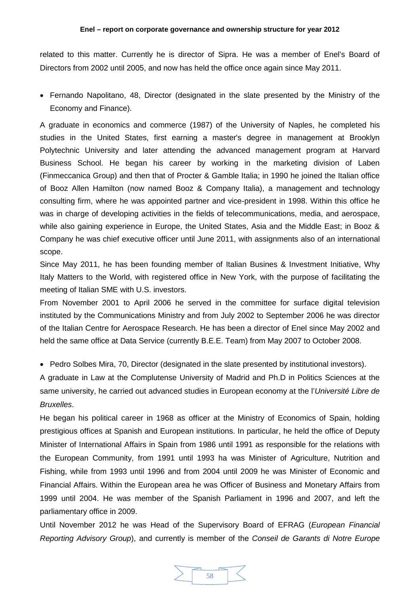related to this matter. Currently he is director of Sipra. He was a member of Enel's Board of Directors from 2002 until 2005, and now has held the office once again since May 2011.

• Fernando Napolitano, 48, Director (designated in the slate presented by the Ministry of the Economy and Finance).

A graduate in economics and commerce (1987) of the University of Naples, he completed his studies in the United States, first earning a master's degree in management at Brooklyn Polytechnic University and later attending the advanced management program at Harvard Business School. He began his career by working in the marketing division of Laben (Finmeccanica Group) and then that of Procter & Gamble Italia; in 1990 he joined the Italian office of Booz Allen Hamilton (now named Booz & Company Italia), a management and technology consulting firm, where he was appointed partner and vice-president in 1998. Within this office he was in charge of developing activities in the fields of telecommunications, media, and aerospace, while also gaining experience in Europe, the United States, Asia and the Middle East; in Booz & Company he was chief executive officer until June 2011, with assignments also of an international scope.

Since May 2011, he has been founding member of Italian Busines & Investment Initiative, Why Italy Matters to the World, with registered office in New York, with the purpose of facilitating the meeting of Italian SME with U.S. investors.

From November 2001 to April 2006 he served in the committee for surface digital television instituted by the Communications Ministry and from July 2002 to September 2006 he was director of the Italian Centre for Aerospace Research. He has been a director of Enel since May 2002 and held the same office at Data Service (currently B.E.E. Team) from May 2007 to October 2008.

• Pedro Solbes Mira, 70, Director (designated in the slate presented by institutional investors).

A graduate in Law at the Complutense University of Madrid and Ph.D in Politics Sciences at the same university, he carried out advanced studies in European economy at the l'*Université Libre de Bruxelles*.

He began his political career in 1968 as officer at the Ministry of Economics of Spain, holding prestigious offices at Spanish and European institutions. In particular, he held the office of Deputy Minister of International Affairs in Spain from 1986 until 1991 as responsible for the relations with the European Community, from 1991 until 1993 ha was Minister of Agriculture, Nutrition and Fishing, while from 1993 until 1996 and from 2004 until 2009 he was Minister of Economic and Financial Affairs. Within the European area he was Officer of Business and Monetary Affairs from 1999 until 2004. He was member of the Spanish Parliament in 1996 and 2007, and left the parliamentary office in 2009.

Until November 2012 he was Head of the Supervisory Board of EFRAG (*European Financial Reporting Advisory Group*), and currently is member of the *Conseil de Garants di Notre Europe* 

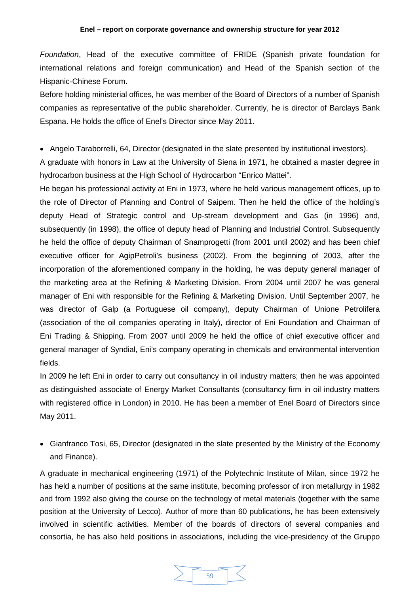#### **Enel – report on corporate governance and ownership structure for year 2012**

*Foundation*, Head of the executive committee of FRIDE (Spanish private foundation for international relations and foreign communication) and Head of the Spanish section of the Hispanic-Chinese Forum.

Before holding ministerial offices, he was member of the Board of Directors of a number of Spanish companies as representative of the public shareholder. Currently, he is director of Barclays Bank Espana. He holds the office of Enel's Director since May 2011.

• Angelo Taraborrelli, 64, Director (designated in the slate presented by institutional investors).

A graduate with honors in Law at the University of Siena in 1971, he obtained a master degree in hydrocarbon business at the High School of Hydrocarbon "Enrico Mattei".

He began his professional activity at Eni in 1973, where he held various management offices, up to the role of Director of Planning and Control of Saipem. Then he held the office of the holding's deputy Head of Strategic control and Up-stream development and Gas (in 1996) and, subsequently (in 1998), the office of deputy head of Planning and Industrial Control. Subsequently he held the office of deputy Chairman of Snamprogetti (from 2001 until 2002) and has been chief executive officer for AgipPetroli's business (2002). From the beginning of 2003, after the incorporation of the aforementioned company in the holding, he was deputy general manager of the marketing area at the Refining & Marketing Division. From 2004 until 2007 he was general manager of Eni with responsible for the Refining & Marketing Division. Until September 2007, he was director of Galp (a Portuguese oil company), deputy Chairman of Unione Petrolifera (association of the oil companies operating in Italy), director of Eni Foundation and Chairman of Eni Trading & Shipping. From 2007 until 2009 he held the office of chief executive officer and general manager of Syndial, Eni's company operating in chemicals and environmental intervention fields.

In 2009 he left Eni in order to carry out consultancy in oil industry matters; then he was appointed as distinguished associate of Energy Market Consultants (consultancy firm in oil industry matters with registered office in London) in 2010. He has been a member of Enel Board of Directors since May 2011.

• Gianfranco Tosi, 65, Director (designated in the slate presented by the Ministry of the Economy and Finance).

A graduate in mechanical engineering (1971) of the Polytechnic Institute of Milan, since 1972 he has held a number of positions at the same institute, becoming professor of iron metallurgy in 1982 and from 1992 also giving the course on the technology of metal materials (together with the same position at the University of Lecco). Author of more than 60 publications, he has been extensively involved in scientific activities. Member of the boards of directors of several companies and consortia, he has also held positions in associations, including the vice-presidency of the Gruppo

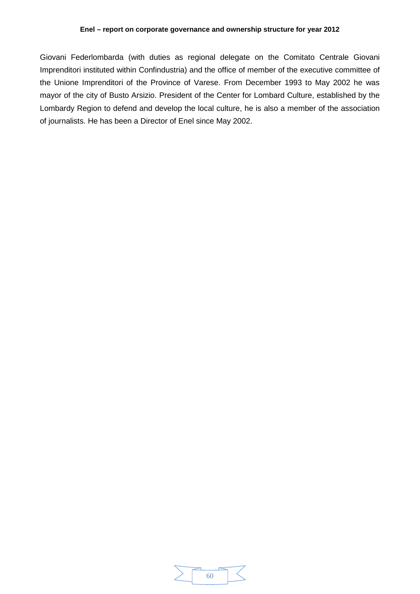Giovani Federlombarda (with duties as regional delegate on the Comitato Centrale Giovani Imprenditori instituted within Confindustria) and the office of member of the executive committee of the Unione Imprenditori of the Province of Varese. From December 1993 to May 2002 he was mayor of the city of Busto Arsizio. President of the Center for Lombard Culture, established by the Lombardy Region to defend and develop the local culture, he is also a member of the association of journalists. He has been a Director of Enel since May 2002.

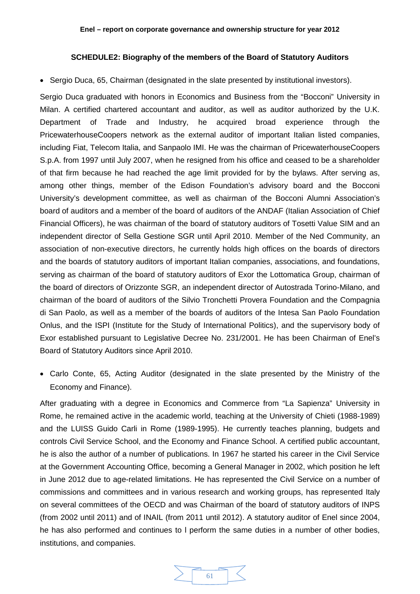### **SCHEDULE2: Biography of the members of the Board of Statutory Auditors**

<span id="page-60-0"></span>• Sergio Duca, 65, Chairman (designated in the slate presented by institutional investors).

Sergio Duca graduated with honors in Economics and Business from the "Bocconi" University in Milan. A certified chartered accountant and auditor, as well as auditor authorized by the U.K. Department of Trade and Industry, he acquired broad experience through the PricewaterhouseCoopers network as the external auditor of important Italian listed companies, including Fiat, Telecom Italia, and Sanpaolo IMI. He was the chairman of PricewaterhouseCoopers S.p.A. from 1997 until July 2007, when he resigned from his office and ceased to be a shareholder of that firm because he had reached the age limit provided for by the bylaws. After serving as, among other things, member of the Edison Foundation's advisory board and the Bocconi University's development committee, as well as chairman of the Bocconi Alumni Association's board of auditors and a member of the board of auditors of the ANDAF (Italian Association of Chief Financial Officers), he was chairman of the board of statutory auditors of Tosetti Value SIM and an independent director of Sella Gestione SGR until April 2010. Member of the Ned Community, an association of non-executive directors, he currently holds high offices on the boards of directors and the boards of statutory auditors of important Italian companies, associations, and foundations, serving as chairman of the board of statutory auditors of Exor the Lottomatica Group, chairman of the board of directors of Orizzonte SGR, an independent director of Autostrada Torino-Milano, and chairman of the board of auditors of the Silvio Tronchetti Provera Foundation and the Compagnia di San Paolo, as well as a member of the boards of auditors of the Intesa San Paolo Foundation Onlus, and the ISPI (Institute for the Study of International Politics), and the supervisory body of Exor established pursuant to Legislative Decree No. 231/2001. He has been Chairman of Enel's Board of Statutory Auditors since April 2010.

• Carlo Conte, 65, Acting Auditor (designated in the slate presented by the Ministry of the Economy and Finance).

After graduating with a degree in Economics and Commerce from "La Sapienza" University in Rome, he remained active in the academic world, teaching at the University of Chieti (1988-1989) and the LUISS Guido Carli in Rome (1989-1995). He currently teaches planning, budgets and controls Civil Service School, and the Economy and Finance School. A certified public accountant, he is also the author of a number of publications. In 1967 he started his career in the Civil Service at the Government Accounting Office, becoming a General Manager in 2002, which position he left in June 2012 due to age-related limitations. He has represented the Civil Service on a number of commissions and committees and in various research and working groups, has represented Italy on several committees of the OECD and was Chairman of the board of statutory auditors of INPS (from 2002 until 2011) and of INAIL (from 2011 until 2012). A statutory auditor of Enel since 2004, he has also performed and continues to l perform the same duties in a number of other bodies, institutions, and companies.

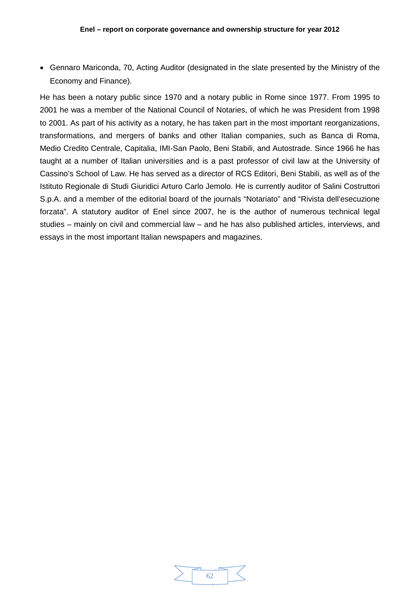• Gennaro Mariconda, 70, Acting Auditor (designated in the slate presented by the Ministry of the Economy and Finance).

He has been a notary public since 1970 and a notary public in Rome since 1977. From 1995 to 2001 he was a member of the National Council of Notaries, of which he was President from 1998 to 2001. As part of his activity as a notary, he has taken part in the most important reorganizations, transformations, and mergers of banks and other Italian companies, such as Banca di Roma, Medio Credito Centrale, Capitalia, IMI-San Paolo, Beni Stabili, and Autostrade. Since 1966 he has taught at a number of Italian universities and is a past professor of civil law at the University of Cassino's School of Law. He has served as a director of RCS Editori, Beni Stabili, as well as of the Istituto Regionale di Studi Giuridici Arturo Carlo Jemolo. He is currently auditor of Salini Costruttori S.p.A. and a member of the editorial board of the journals "Notariato" and "Rivista dell'esecuzione forzata". A statutory auditor of Enel since 2007, he is the author of numerous technical legal studies – mainly on civil and commercial law – and he has also published articles, interviews, and essays in the most important Italian newspapers and magazines.

| 67 |  |
|----|--|
|    |  |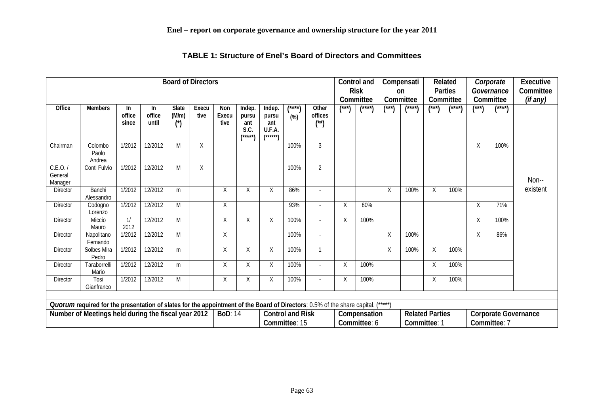<span id="page-62-0"></span>

| <b>Board of Directors</b>                                                                                                        |                            |                        |                                          |                                 |               |                              | Control and<br><b>Risk</b><br>Committee   |                                               |                 | Compensati<br><sub>on</sub><br>Committee |                                             | Related<br>Parties<br>Committee |       | Corporate<br>Governance<br>Committee | Executive<br>Committee<br>(if any) |              |       |              |          |
|----------------------------------------------------------------------------------------------------------------------------------|----------------------------|------------------------|------------------------------------------|---------------------------------|---------------|------------------------------|-------------------------------------------|-----------------------------------------------|-----------------|------------------------------------------|---------------------------------------------|---------------------------------|-------|--------------------------------------|------------------------------------|--------------|-------|--------------|----------|
| Office                                                                                                                           | <b>Members</b>             | In.<br>office<br>since | In.<br>office<br>until                   | Slate<br>(M/m)<br>$(\check{c})$ | Execu<br>tive | Non<br>Execu<br>tive         | Indep.<br>pursu<br>ant<br>S.C.<br>/*****\ | Indep.<br>pursu<br>ant<br>U.F.A.<br>$(*****)$ | *****<br>$(\%)$ | Other<br>offices<br>$(^{**})$            | (***)                                       | <b>/****\</b>                   | (***) | *****                                | (***)                              | <b>/****</b> | (***) | <b>/****</b> |          |
| Chairman                                                                                                                         | Colombo<br>Paolo<br>Andrea | 1/2012                 | 12/2012                                  | M                               | Χ             |                              |                                           |                                               | 100%            | $\mathfrak{Z}$                           |                                             |                                 |       |                                      |                                    |              | X     | 100%         |          |
| C.E.0.7<br>General<br>Manager                                                                                                    | Conti Fulvio               | 1/2012                 | 12/2012                                  | M                               | χ             |                              |                                           |                                               | 100%            | $\overline{2}$                           |                                             |                                 |       |                                      |                                    |              |       |              | Non--    |
| Director                                                                                                                         | Banchi<br>Alessandro       | 1/2012                 | 12/2012                                  | m                               |               | X                            | Χ                                         | χ                                             | 86%             | $\overline{\phantom{a}}$                 |                                             |                                 | Χ     | 100%                                 | Χ                                  | 100%         |       |              | existent |
| Director                                                                                                                         | Codogno<br>Lorenzo         | 1/2012                 | 12/2012                                  | M                               |               | X                            |                                           |                                               | 93%             |                                          | X                                           | 80%                             |       |                                      |                                    |              | X     | 71%          |          |
| Director                                                                                                                         | Miccio<br>Mauro            | 1/<br>2012             | 12/2012                                  | M                               |               | X                            | χ                                         | X                                             | 100%            |                                          | X                                           | 100%                            |       |                                      |                                    |              | X     | 100%         |          |
| <b>Director</b>                                                                                                                  | Napolitano<br>Fernando     | 1/2012                 | 12/2012                                  | M                               |               | X                            |                                           |                                               | 100%            | $\overline{\phantom{a}}$                 |                                             |                                 | Χ     | 100%                                 |                                    |              | X     | 86%          |          |
| Director                                                                                                                         | Solbes Mira<br>Pedro       | 1/2012                 | 12/2012                                  | m                               |               | $\mathsf X$                  | Χ                                         | $\sf X$                                       | 100%            | $\mathbf{1}$                             |                                             |                                 | Χ     | 100%                                 | $\sf X$                            | 100%         |       |              |          |
| Director                                                                                                                         | Taraborrelli<br>Mario      | 1/2012                 | 12/2012                                  | m                               |               | X                            | X                                         | Χ                                             | 100%            | ÷.                                       | X                                           | 100%                            |       |                                      | χ                                  | 100%         |       |              |          |
| Director                                                                                                                         | Tosi<br>Gianfranco         | 1/2012                 | 12/2012                                  | M                               |               | $\sf X$                      | X                                         | $\mathsf X$                                   | 100%            |                                          | Χ                                           | 100%                            |       |                                      | $\mathsf X$                        | 100%         |       |              |          |
| Quorum required for the presentation of slates for the appointment of the Board of Directors: 0.5% of the share capital. (*****) |                            |                        |                                          |                                 |               |                              |                                           |                                               |                 |                                          |                                             |                                 |       |                                      |                                    |              |       |              |          |
|                                                                                                                                  |                            |                        |                                          |                                 |               | <b>BoD: 14</b>               |                                           |                                               |                 |                                          |                                             |                                 |       |                                      |                                    |              |       |              |          |
| Number of Meetings held during the fiscal year 2012                                                                              |                            |                        | <b>Control and Risk</b><br>Committee: 15 |                                 |               | Compensation<br>Committee: 6 |                                           | <b>Related Parties</b><br>Committee: 1        |                 |                                          | <b>Corporate Governance</b><br>Committee: 7 |                                 |       |                                      |                                    |              |       |              |          |

**TABLE 1: Structure of Enel's Board of Directors and Committees**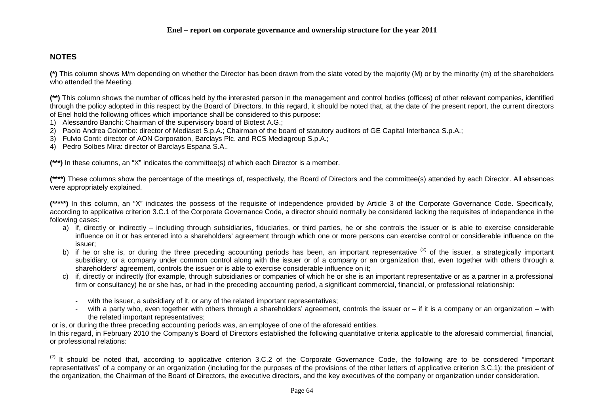# <span id="page-63-0"></span>**NOTES**

**(\*)** This column shows M/m depending on whether the Director has been drawn from the slate voted by the majority (M) or by the minority (m) of the shareholders who attended the Meeting.

**(\*\*)** This column shows the number of offices held by the interested person in the management and control bodies (offices) of other relevant companies, identified through the policy adopted in this respect by the Board of Directors. In this regard, it should be noted that, at the date of the present report, the current directors of Enel hold the following offices which importance shall be considered to this purpose:

- 1) Alessandro Banchi: Chairman of the supervisory board of Biotest A.G.;
- 2) Paolo Andrea Colombo: director of Mediaset S.p.A.; Chairman of the board of statutory auditors of GE Capital Interbanca S.p.A.;
- 3) Fulvio Conti: director of AON Corporation, Barclays Plc. and RCS Mediagroup S.p.A.;
- 4) Pedro Solbes Mira: director of Barclays Espana S.A..

**(\*\*\*)** In these columns, an "X" indicates the committee(s) of which each Director is a member.

**(\*\*\*\*)** These columns show the percentage of the meetings of, respectively, the Board of Directors and the committee(s) attended by each Director. All absences were appropriately explained.

**(\*\*\*\*\*)** In this column, an "X" indicates the possess of the requisite of independence provided by Article 3 of the Corporate Governance Code. Specifically, according to applicative criterion 3.C.1 of the Corporate Governance Code, a director should normally be considered lacking the requisites of independence in the following cases:

- a) if, directly or indirectly including through subsidiaries, fiduciaries, or third parties, he or she controls the issuer or is able to exercise considerable influence on it or has entered into a shareholders' agreement through which one or more persons can exercise control or considerable influence on the issuer;
- b) if he or she is, or during the three preceding accounting periods has been, an important representative <sup>([2](#page-63-0))</sup> of the issuer, a strategically important subsidiary, or a company under common control along with the issuer or of a company or an organization that, even together with others through a shareholders' agreement, controls the issuer or is able to exercise considerable influence on it;
- c) if, directly or indirectly (for example, through subsidiaries or companies of which he or she is an important representative or as a partner in a professional firm or consultancy) he or she has, or had in the preceding accounting period, a significant commercial, financial, or professional relationship:
	- with the issuer, a subsidiary of it, or any of the related important representatives;
	- with a party who, even together with others through a shareholders' agreement, controls the issuer or if it is a company or an organization with the related important representatives;

or is, or during the three preceding accounting periods was, an employee of one of the aforesaid entities.

In this regard, in February 2010 the Company's Board of Directors established the following quantitative criteria applicable to the aforesaid commercial, financial, or professional relations:

 $(2)$  It should be noted that, according to applicative criterion 3.C.2 of the Corporate Governance Code, the following are to be considered "important representatives" of a company or an organization (including for the purposes of the provisions of the other letters of applicative criterion 3.C.1): the president of the organization, the Chairman of the Board of Directors, the executive directors, and the key executives of the company or organization under consideration.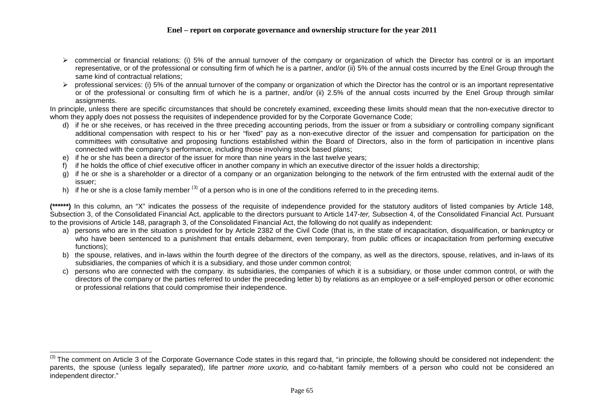# <span id="page-64-0"></span>**Enel – report on corporate governance and ownership structure for the year 2011**

- $\triangleright$  commercial or financial relations: (i) 5% of the annual turnover of the company or organization of which the Director has control or is an important representative, or of the professional or consulting firm of which he is a partner, and/or (ii) 5% of the annual costs incurred by the Enel Group through the same kind of contractual relations;
- $\triangleright$  professional services: (i) 5% of the annual turnover of the company or organization of which the Director has the control or is an important representative or of the professional or consulting firm of which he is a partner, and/or (ii) 2.5% of the annual costs incurred by the Enel Group through similar assignments.

In principle, unless there are specific circumstances that should be concretely examined, exceeding these limits should mean that the non-executive director to whom they apply does not possess the requisites of independence provided for by the Corporate Governance Code;

- d) if he or she receives, or has received in the three preceding accounting periods, from the issuer or from a subsidiary or controlling company significant additional compensation with respect to his or her "fixed" pay as a non-executive director of the issuer and compensation for participation on the committees with consultative and proposing functions established within the Board of Directors, also in the form of participation in incentive plans connected with the company's performance, including those involving stock based plans;
- e) if he or she has been a director of the issuer for more than nine years in the last twelve years;
- f) if he holds the office of chief executive officer in another company in which an executive director of the issuer holds a directorship:
- g) if he or she is a shareholder or a director of a company or an organization belonging to the network of the firm entrusted with the external audit of the issuer;
- h) if he or she is a close family member <sup>([3](#page-64-0))</sup> of a person who is in one of the conditions referred to in the preceding items.

**(\*\*\*\*\*\*)** In this column, an "X" indicates the possess of the requisite of independence provided for the statutory auditors of listed companies by Article 148, Subsection 3, of the Consolidated Financial Act, applicable to the directors pursuant to Article 147-*ter,* Subsection 4, of the Consolidated Financial Act. Pursuant to the provisions of Article 148, paragraph 3, of the Consolidated Financial Act, the following do not qualify as independent:

- a) persons who are in the situation s provided for by Article 2382 of the Civil Code (that is, in the state of incapacitation, disqualification, or bankruptcy or who have been sentenced to a punishment that entails debarment, even temporary, from public offices or incapacitation from performing executive functions);
- b) the spouse, relatives, and in-laws within the fourth degree of the directors of the company, as well as the directors, spouse, relatives, and in-laws of its subsidiaries, the companies of which it is a subsidiary, and those under common control;
- c) persons who are connected with the company. its subsidiaries, the companies of which it is a subsidiary, or those under common control, or with the directors of the company or the parties referred to under the preceding letter b) by relations as an employee or a self-employed person or other economic or professional relations that could compromise their independence.

<sup>&</sup>lt;sup>(3)</sup> The comment on Article 3 of the Corporate Governance Code states in this regard that, "in principle, the following should be considered not independent: the parents, the spouse (unless legally separated), life partner *more uxorio,* and co-habitant family members of a person who could not be considered an independent director."